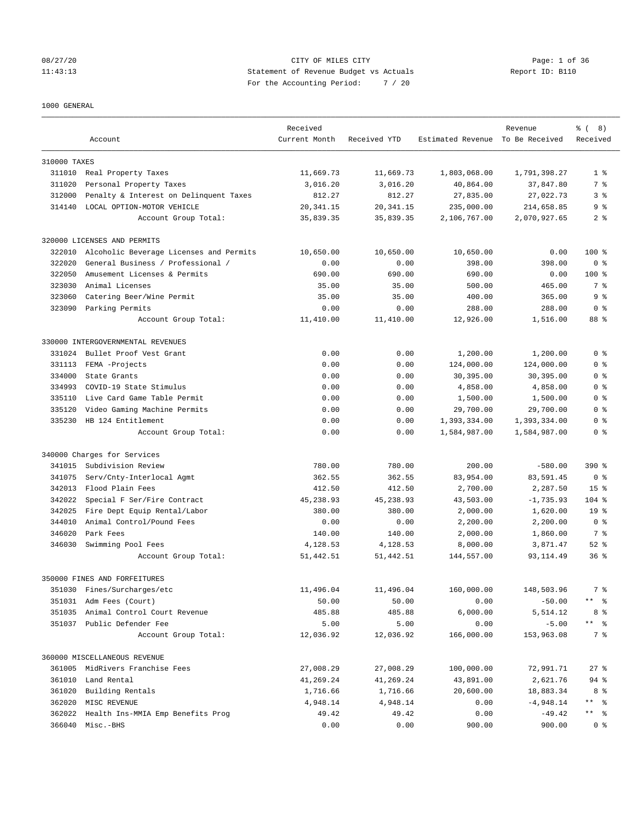# 08/27/20 Page: 1 of 36 11:43:13 Statement of Revenue Budget vs Actuals Report ID: B110 For the Accounting Period: 7 / 20

#### 1000 GENERAL

|              | Account                                 | Received<br>Current Month | Received YTD | Estimated Revenue To Be Received | Revenue      | <u> ද</u> ි (<br>8)<br>Received |
|--------------|-----------------------------------------|---------------------------|--------------|----------------------------------|--------------|---------------------------------|
| 310000 TAXES |                                         |                           |              |                                  |              |                                 |
|              | 311010 Real Property Taxes              | 11,669.73                 | 11,669.73    | 1,803,068.00                     | 1,791,398.27 | 1 <sup>8</sup>                  |
| 311020       | Personal Property Taxes                 | 3,016.20                  | 3,016.20     | 40,864.00                        | 37,847.80    | 7 %                             |
| 312000       | Penalty & Interest on Delinquent Taxes  | 812.27                    | 812.27       | 27,835.00                        | 27,022.73    | 3%                              |
| 314140       | LOCAL OPTION-MOTOR VEHICLE              | 20, 341.15                | 20, 341.15   | 235,000.00                       | 214,658.85   | 9 <sub>8</sub>                  |
|              | Account Group Total:                    | 35,839.35                 | 35,839.35    | 2,106,767.00                     | 2,070,927.65 | 2 <sub>8</sub>                  |
|              | 320000 LICENSES AND PERMITS             |                           |              |                                  |              |                                 |
| 322010       | Alcoholic Beverage Licenses and Permits | 10,650.00                 | 10,650.00    | 10,650.00                        | 0.00         | $100*$                          |
| 322020       | General Business / Professional /       | 0.00                      | 0.00         | 398.00                           | 398.00       | 0 <sup>8</sup>                  |
| 322050       | Amusement Licenses & Permits            | 690.00                    | 690.00       | 690.00                           | 0.00         | $100$ %                         |
| 323030       | Animal Licenses                         | 35.00                     | 35.00        | 500.00                           | 465.00       | 7 %                             |
| 323060       | Catering Beer/Wine Permit               | 35.00                     | 35.00        | 400.00                           | 365.00       | 9 <sup>8</sup>                  |
| 323090       | Parking Permits                         | 0.00                      | 0.00         | 288.00                           | 288.00       | 0 <sup>8</sup>                  |
|              | Account Group Total:                    | 11,410.00                 | 11,410.00    | 12,926.00                        | 1,516.00     | 88 %                            |
|              | 330000 INTERGOVERNMENTAL REVENUES       |                           |              |                                  |              |                                 |
| 331024       | Bullet Proof Vest Grant                 | 0.00                      | 0.00         | 1,200.00                         | 1,200.00     | 0 <sup>8</sup>                  |
| 331113       | FEMA -Projects                          | 0.00                      | 0.00         | 124,000.00                       | 124,000.00   | 0 <sup>8</sup>                  |
| 334000       | State Grants                            | 0.00                      | 0.00         | 30,395.00                        | 30,395.00    | 0 <sup>8</sup>                  |
| 334993       | COVID-19 State Stimulus                 | 0.00                      | 0.00         | 4,858.00                         | 4,858.00     | 0 <sup>8</sup>                  |
| 335110       | Live Card Game Table Permit             | 0.00                      | 0.00         | 1,500.00                         | 1,500.00     | 0 %                             |
| 335120       | Video Gaming Machine Permits            | 0.00                      | 0.00         | 29,700.00                        | 29,700.00    | 0 <sup>8</sup>                  |
| 335230       | HB 124 Entitlement                      | 0.00                      | 0.00         | 1,393,334.00                     | 1,393,334.00 | 0 <sup>8</sup>                  |
|              | Account Group Total:                    | 0.00                      | 0.00         | 1,584,987.00                     | 1,584,987.00 | 0 <sup>8</sup>                  |
|              | 340000 Charges for Services             |                           |              |                                  |              |                                 |
| 341015       | Subdivision Review                      | 780.00                    | 780.00       | 200.00                           | $-580.00$    | $390*$                          |
| 341075       | Serv/Cnty-Interlocal Agmt               | 362.55                    | 362.55       | 83,954.00                        | 83,591.45    | 0 <sup>8</sup>                  |
| 342013       | Flood Plain Fees                        | 412.50                    | 412.50       | 2,700.00                         | 2,287.50     | 15 <sup>8</sup>                 |
| 342022       | Special F Ser/Fire Contract             | 45,238.93                 | 45, 238.93   | 43,503.00                        | $-1,735.93$  | $104$ %                         |
| 342025       | Fire Dept Equip Rental/Labor            | 380.00                    | 380.00       | 2,000.00                         | 1,620.00     | 19 <sup>°</sup>                 |
| 344010       | Animal Control/Pound Fees               | 0.00                      | 0.00         | 2,200.00                         | 2,200.00     | 0 <sup>8</sup>                  |
| 346020       | Park Fees                               | 140.00                    | 140.00       | 2,000.00                         | 1,860.00     | 7 %                             |
| 346030       | Swimming Pool Fees                      | 4,128.53                  | 4,128.53     | 8,000.00                         | 3,871.47     | $52$ $%$                        |
|              | Account Group Total:                    | 51, 442.51                | 51, 442.51   | 144,557.00                       | 93, 114.49   | 36 <sup>8</sup>                 |
|              | 350000 FINES AND FORFEITURES            |                           |              |                                  |              |                                 |
|              | 351030 Fines/Surcharges/etc             | 11,496.04                 | 11,496.04    | 160,000.00                       | 148,503.96   | 7 %                             |
|              | 351031 Adm Fees (Court)                 | 50.00                     | 50.00        | 0.00                             | $-50.00$     | ** %                            |
| 351035       | Animal Control Court Revenue            | 485.88                    | 485.88       | 6,000.00                         | 5,514.12     | 8 %                             |
|              | 351037 Public Defender Fee              | 5.00                      | 5.00         | 0.00                             | $-5.00$      | ** %                            |
|              | Account Group Total:                    | 12,036.92                 | 12,036.92    | 166,000.00                       | 153,963.08   | 7 %                             |
|              | 360000 MISCELLANEOUS REVENUE            |                           |              |                                  |              |                                 |
|              | 361005 MidRivers Franchise Fees         | 27,008.29                 | 27,008.29    | 100,000.00                       | 72,991.71    | $27$ %                          |
| 361010       | Land Rental                             | 41,269.24                 | 41,269.24    | 43,891.00                        | 2,621.76     | $94$ %                          |
| 361020       | Building Rentals                        | 1,716.66                  | 1,716.66     | 20,600.00                        | 18,883.34    | 8 %                             |
| 362020       | MISC REVENUE                            | 4,948.14                  | 4,948.14     | 0.00                             | $-4,948.14$  | ** %                            |
| 362022       | Health Ins-MMIA Emp Benefits Prog       | 49.42                     | 49.42        | 0.00                             | $-49.42$     | ** 응                            |
|              | 366040 Misc.-BHS                        | 0.00                      | 0.00         | 900.00                           | 900.00       | 0 <sup>8</sup>                  |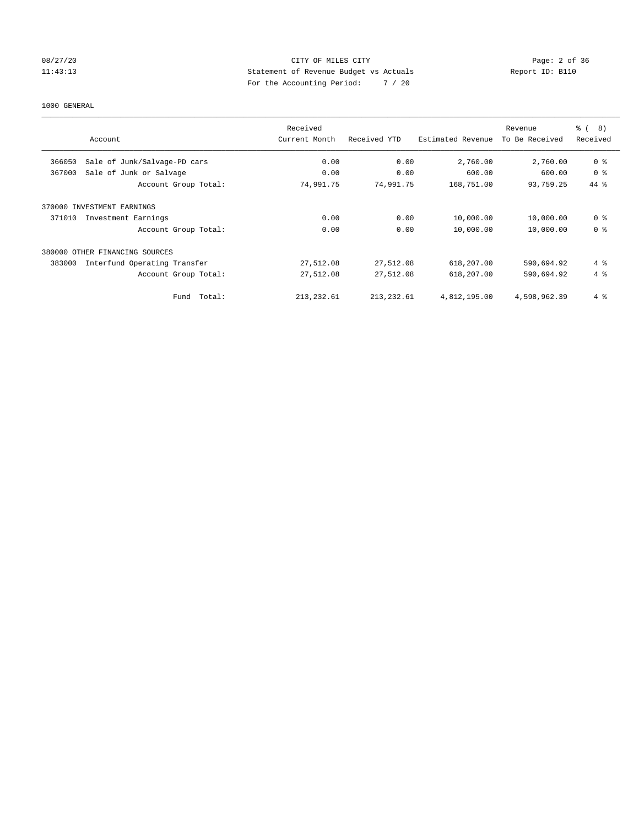## 08/27/20 Page: 2 of 36 11:43:13 Statement of Revenue Budget vs Actuals Report ID: B110 For the Accounting Period: 7 / 20

#### 1000 GENERAL

| Account                                | Received<br>Current Month | Received YTD | Estimated Revenue | Revenue<br>To Be Received | ී (<br>$\left(8\right)$<br>Received |
|----------------------------------------|---------------------------|--------------|-------------------|---------------------------|-------------------------------------|
| Sale of Junk/Salvage-PD cars<br>366050 | 0.00                      | 0.00         | 2,760.00          | 2,760.00                  | 0 <sup>8</sup>                      |
| Sale of Junk or Salvage<br>367000      | 0.00                      | 0.00         | 600.00            | 600.00                    | 0 <sup>8</sup>                      |
| Account Group Total:                   | 74,991.75                 | 74,991.75    | 168,751.00        | 93,759.25                 | 44 %                                |
| 370000 INVESTMENT EARNINGS             |                           |              |                   |                           |                                     |
| 371010<br>Investment Earnings          | 0.00                      | 0.00         | 10,000.00         | 10,000.00                 | 0 <sup>8</sup>                      |
| Account Group Total:                   | 0.00                      | 0.00         | 10,000.00         | 10,000.00                 | 0 <sup>8</sup>                      |
| 380000 OTHER FINANCING SOURCES         |                           |              |                   |                           |                                     |
| 383000<br>Interfund Operating Transfer | 27,512.08                 | 27,512.08    | 618,207.00        | 590,694.92                | 4%                                  |
| Account Group Total:                   | 27,512.08                 | 27,512.08    | 618,207.00        | 590,694.92                | $4 \text{ }$                        |
| Fund Total:                            | 213, 232.61               | 213, 232.61  | 4,812,195.00      | 4,598,962.39              | $4 \text{ }$                        |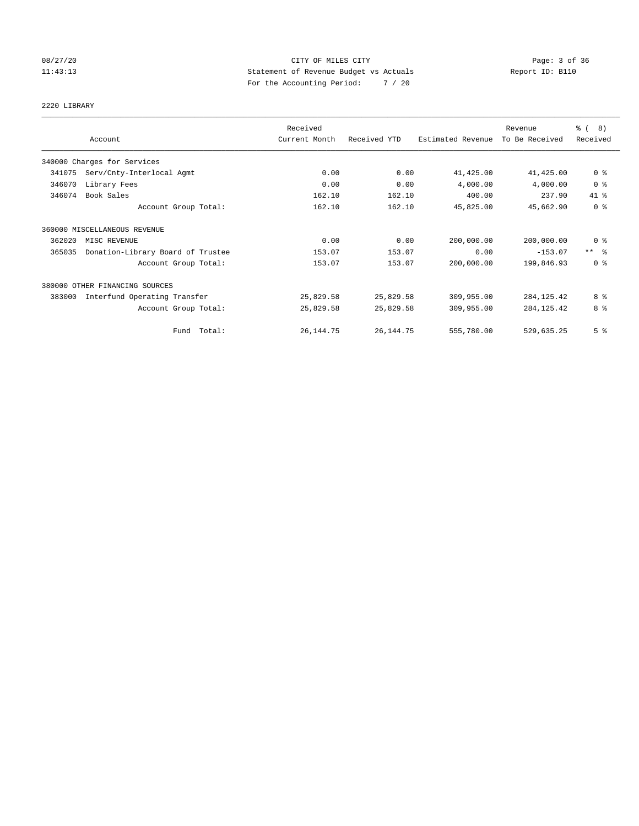## 08/27/20 Page: 3 of 36 11:43:13 Statement of Revenue Budget vs Actuals Report ID: B110 For the Accounting Period: 7 / 20

# 2220 LIBRARY

|        |                                   | Received      |              |                   | Revenue        | $\frac{3}{6}$ ( 8)  |
|--------|-----------------------------------|---------------|--------------|-------------------|----------------|---------------------|
|        | Account                           | Current Month | Received YTD | Estimated Revenue | To Be Received | Received            |
|        | 340000 Charges for Services       |               |              |                   |                |                     |
| 341075 | Serv/Cnty-Interlocal Agmt         | 0.00          | 0.00         | 41,425.00         | 41,425.00      | 0 <sup>8</sup>      |
| 346070 | Library Fees                      | 0.00          | 0.00         | 4,000.00          | 4,000.00       | 0 <sup>8</sup>      |
| 346074 | Book Sales                        | 162.10        | 162.10       | 400.00            | 237.90         | 41 %                |
|        | Account Group Total:              | 162.10        | 162.10       | 45,825.00         | 45,662.90      | 0 <sup>8</sup>      |
|        | 360000 MISCELLANEOUS REVENUE      |               |              |                   |                |                     |
| 362020 | MISC REVENUE                      | 0.00          | 0.00         | 200,000.00        | 200,000.00     | 0 <sup>8</sup>      |
| 365035 | Donation-Library Board of Trustee | 153.07        | 153.07       | 0.00              | $-153.07$      | $***$ $\frac{6}{5}$ |
|        | Account Group Total:              | 153.07        | 153.07       | 200,000.00        | 199,846.93     | 0 <sup>8</sup>      |
|        | 380000 OTHER FINANCING SOURCES    |               |              |                   |                |                     |
| 383000 | Interfund Operating Transfer      | 25,829.58     | 25,829.58    | 309,955.00        | 284, 125.42    | 8 %                 |
|        | Account Group Total:              | 25,829.58     | 25,829.58    | 309,955.00        | 284, 125.42    | 8 %                 |
|        | Fund Total:                       | 26, 144. 75   | 26, 144. 75  | 555,780.00        | 529,635.25     | 5 <sup>°</sup>      |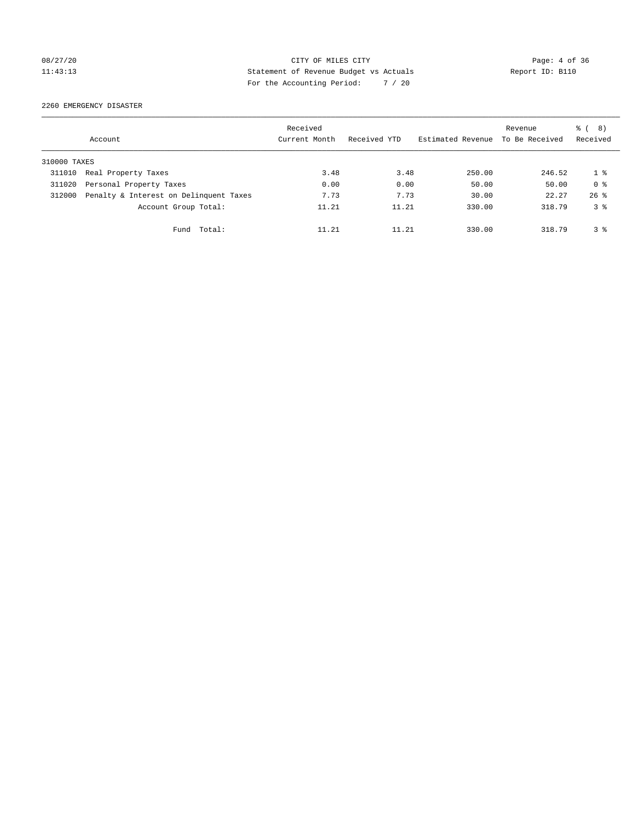# 08/27/20 CITY OF MILES CITY Page: 4 of 36 11:43:13 Statement of Revenue Budget vs Actuals Report ID: B110 For the Accounting Period: 7 / 20

2260 EMERGENCY DISASTER

|              | Account                                | Received<br>Current Month | Received YTD | Estimated Revenue | Revenue<br>To Be Received | $\frac{6}{6}$ ( 8)<br>Received |
|--------------|----------------------------------------|---------------------------|--------------|-------------------|---------------------------|--------------------------------|
| 310000 TAXES |                                        |                           |              |                   |                           |                                |
| 311010       | Real Property Taxes                    | 3.48                      | 3.48         | 250.00            | 246.52                    | 18                             |
| 311020       | Personal Property Taxes                | 0.00                      | 0.00         | 50.00             | 50.00                     | 0 <sup>8</sup>                 |
| 312000       | Penalty & Interest on Delinquent Taxes | 7.73                      | 7.73         | 30.00             | 22.27                     | $26$ $%$                       |
|              | Account Group Total:                   | 11.21                     | 11.21        | 330.00            | 318.79                    | 3 <sup>8</sup>                 |
|              | Total:<br>Fund                         | 11.21                     | 11.21        | 330.00            | 318.79                    | 3 <sup>8</sup>                 |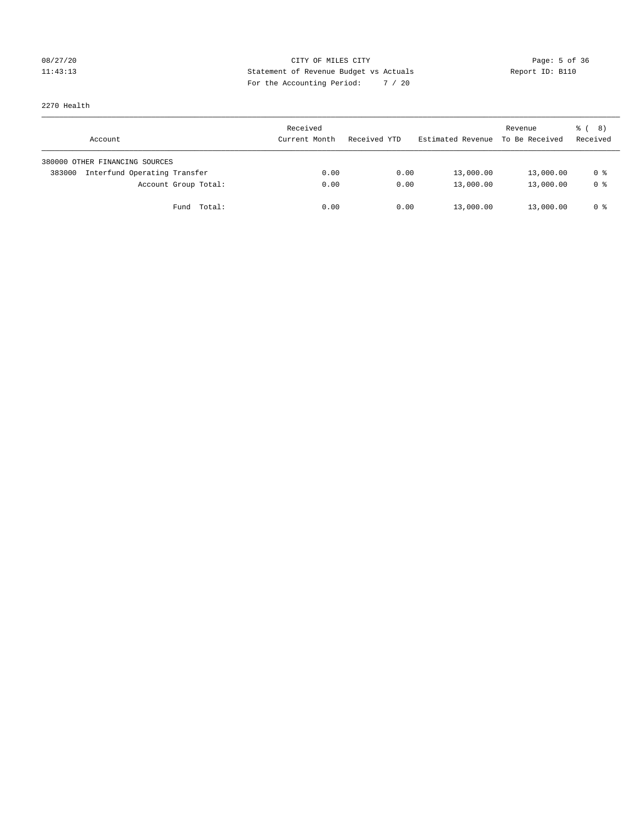# 08/27/20 **Page: 5 of 36** CITY OF MILES CITY CONTROL Page: 5 of 36 11:43:13 Statement of Revenue Budget vs Actuals Report ID: B110 For the Accounting Period: 7 / 20

2270 Health

| Account                                | Received<br>Current Month | Received YTD | Estimated Revenue | Revenue<br>To Be Received | <sub>රි</sub> ( 8 )<br>Received |
|----------------------------------------|---------------------------|--------------|-------------------|---------------------------|---------------------------------|
| 380000 OTHER FINANCING SOURCES         |                           |              |                   |                           |                                 |
| Interfund Operating Transfer<br>383000 | 0.00                      | 0.00         | 13,000.00         | 13,000.00                 | 0 %                             |
| Account Group Total:                   | 0.00                      | 0.00         | 13,000.00         | 13,000.00                 | 0 %                             |
| Total:<br>Fund                         | 0.00                      | 0.00         | 13,000.00         | 13,000.00                 | 0 %                             |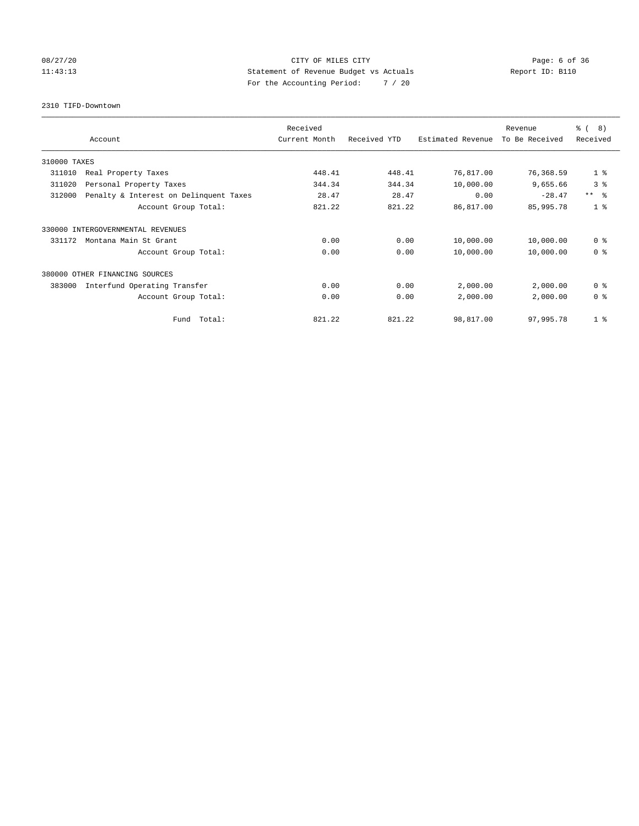## 08/27/20 **Page: 6 of 36 CITY OF MILES CITY CITY Page: 6 of 36** 11:43:13 Statement of Revenue Budget vs Actuals Report ID: B110 For the Accounting Period: 7 / 20

2310 TIFD-Downtown

|              |                                        | Received      |              |                   | Revenue        | $\frac{6}{6}$ ( 8) |
|--------------|----------------------------------------|---------------|--------------|-------------------|----------------|--------------------|
|              | Account                                | Current Month | Received YTD | Estimated Revenue | To Be Received | Received           |
| 310000 TAXES |                                        |               |              |                   |                |                    |
| 311010       | Real Property Taxes                    | 448.41        | 448.41       | 76,817.00         | 76,368.59      | 1 <sup>8</sup>     |
| 311020       | Personal Property Taxes                | 344.34        | 344.34       | 10,000.00         | 9,655.66       | 3 <sup>°</sup>     |
| 312000       | Penalty & Interest on Delinquent Taxes | 28.47         | 28.47        | 0.00              | $-28.47$       | $***$ $ -$         |
|              | Account Group Total:                   | 821.22        | 821.22       | 86,817.00         | 85,995.78      | 1 <sup>8</sup>     |
| 330000       | INTERGOVERNMENTAL REVENUES             |               |              |                   |                |                    |
| 331172       | Montana Main St Grant                  | 0.00          | 0.00         | 10,000.00         | 10,000.00      | 0 <sup>8</sup>     |
|              | Account Group Total:                   | 0.00          | 0.00         | 10,000.00         | 10,000.00      | 0 <sup>8</sup>     |
|              | 380000 OTHER FINANCING SOURCES         |               |              |                   |                |                    |
| 383000       | Interfund Operating Transfer           | 0.00          | 0.00         | 2,000.00          | 2,000.00       | 0 <sup>8</sup>     |
|              | Account Group Total:                   | 0.00          | 0.00         | 2,000.00          | 2,000.00       | 0 <sup>8</sup>     |
|              | Fund Total:                            | 821.22        | 821.22       | 98,817.00         | 97,995.78      | 1 <sup>8</sup>     |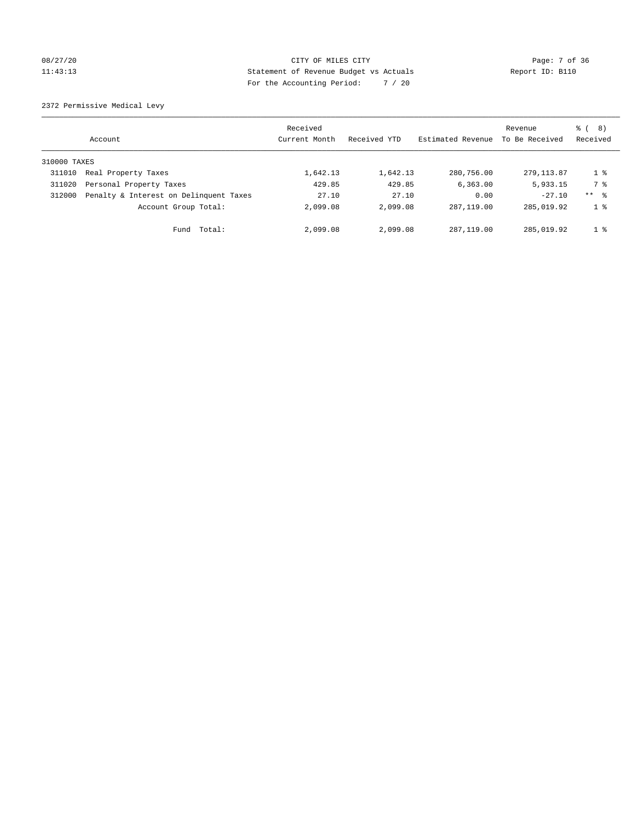## 08/27/20 Page: 7 of 36 11:43:13 Statement of Revenue Budget vs Actuals Report ID: B110 For the Accounting Period: 7 / 20

2372 Permissive Medical Levy

|              | Account                                | Received<br>Current Month | Received YTD | Estimated Revenue | Revenue<br>To Be Received | (8)<br>ී (<br>Received |
|--------------|----------------------------------------|---------------------------|--------------|-------------------|---------------------------|------------------------|
| 310000 TAXES |                                        |                           |              |                   |                           |                        |
| 311010       | Real Property Taxes                    | 1,642.13                  | 1,642.13     | 280,756.00        | 279.113.87                | $1 \circ$              |
| 311020       | Personal Property Taxes                | 429.85                    | 429.85       | 6, 363.00         | 5,933.15                  | 7 %                    |
| 312000       | Penalty & Interest on Delinquent Taxes | 27.10                     | 27.10        | 0.00              | $-27.10$                  | $***$ $\frac{6}{5}$    |
|              | Account Group Total:                   | 2,099.08                  | 2,099.08     | 287, 119, 00      | 285,019.92                | 1 <sup>8</sup>         |
|              | Fund Total:                            | 2,099.08                  | 2,099.08     | 287,119.00        | 285,019.92                | 1 <sup>8</sup>         |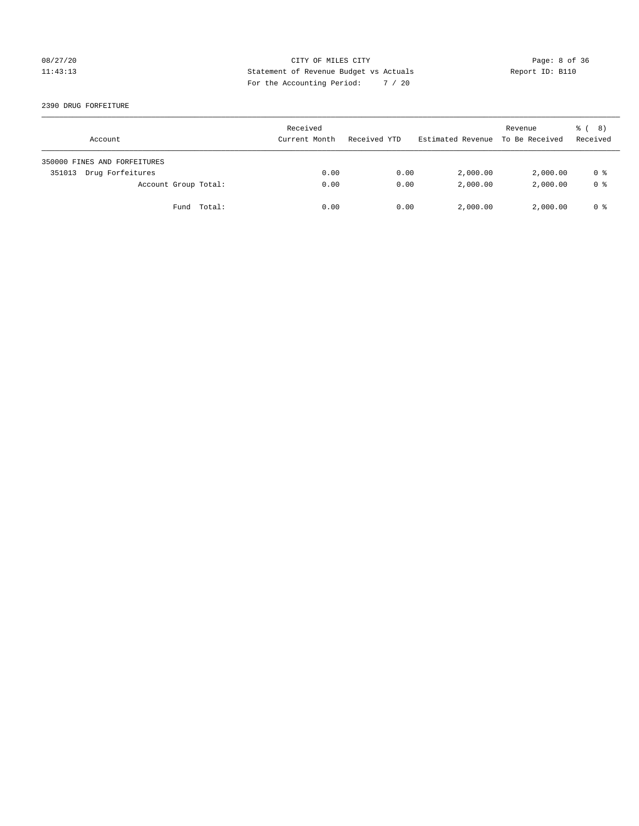## 08/27/20 Page: 8 of 36 11:43:13 Statement of Revenue Budget vs Actuals Report ID: B110 For the Accounting Period: 7 / 20

#### 2390 DRUG FORFEITURE

| Account                      | Received<br>Current Month | Received YTD | Estimated Revenue | Revenue<br>To Be Received | ී ( 8 )<br>Received |
|------------------------------|---------------------------|--------------|-------------------|---------------------------|---------------------|
| 350000 FINES AND FORFEITURES |                           |              |                   |                           |                     |
| Drug Forfeitures<br>351013   | 0.00                      | 0.00         | 2,000.00          | 2,000.00                  | 0 %                 |
| Account Group Total:         | 0.00                      | 0.00         | 2,000.00          | 2,000.00                  | 0 <sup>8</sup>      |
| Fund Total:                  | 0.00                      | 0.00         | 2,000.00          | 2,000.00                  | 0 %                 |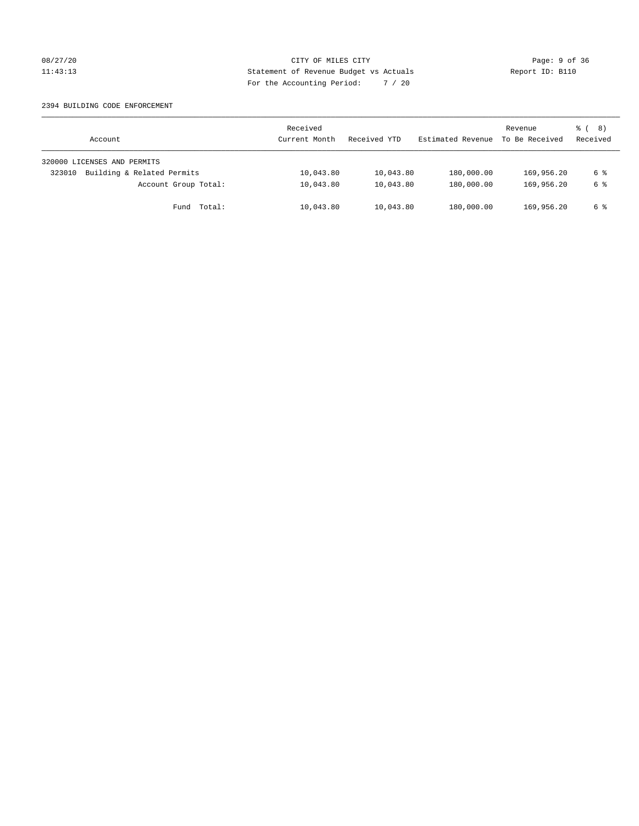## 08/27/20 CITY OF MILES CITY Page: 9 of 36 11:43:13 Statement of Revenue Budget vs Actuals Report ID: B110 For the Accounting Period: 7 / 20

#### 2394 BUILDING CODE ENFORCEMENT

| Account                              | Received<br>Current Month | Received YTD | Estimated Revenue | Revenue<br>To Be Received | $\frac{6}{6}$ ( 8)<br>Received |
|--------------------------------------|---------------------------|--------------|-------------------|---------------------------|--------------------------------|
| 320000 LICENSES AND PERMITS          |                           |              |                   |                           |                                |
| Building & Related Permits<br>323010 | 10,043.80                 | 10,043.80    | 180,000.00        | 169,956.20                | 6 %                            |
| Account Group Total:                 | 10,043.80                 | 10,043.80    | 180,000.00        | 169,956.20                | 6 %                            |
| Fund Total:                          | 10,043.80                 | 10,043.80    | 180,000.00        | 169,956.20                | 6 %                            |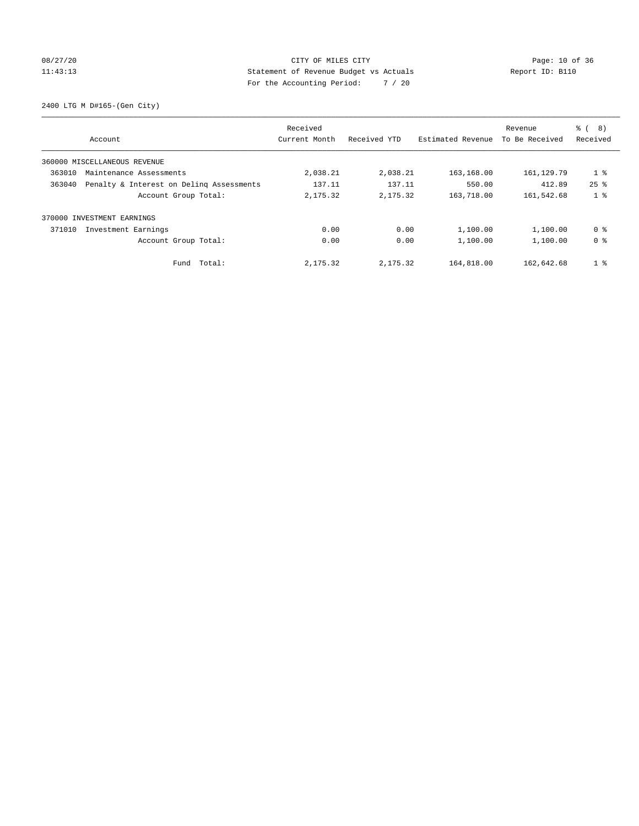## 08/27/20 Page: 10 of 36 11:43:13 Statement of Revenue Budget vs Actuals Report ID: B110 For the Accounting Period: 7 / 20

2400 LTG M D#165-(Gen City)

| Account                                            | Received<br>Current Month | Received YTD | Estimated Revenue | Revenue<br>To Be Received | ී (<br>8)<br>Received |
|----------------------------------------------------|---------------------------|--------------|-------------------|---------------------------|-----------------------|
| 360000 MISCELLANEOUS REVENUE                       |                           |              |                   |                           |                       |
| 363010<br>Maintenance Assessments                  | 2,038.21                  | 2,038.21     | 163,168.00        | 161, 129.79               | 1 <sub>8</sub>        |
| Penalty & Interest on Deling Assessments<br>363040 | 137.11                    | 137.11       | 550.00            | 412.89                    | $25$ $%$              |
| Account Group Total:                               | 2,175.32                  | 2,175.32     | 163,718.00        | 161,542.68                | 1 <sub>8</sub>        |
| INVESTMENT EARNINGS<br>370000                      |                           |              |                   |                           |                       |
| 371010<br>Investment Earnings                      | 0.00                      | 0.00         | 1,100.00          | 1,100.00                  | 0 <sup>8</sup>        |
| Account Group Total:                               | 0.00                      | 0.00         | 1,100.00          | 1,100.00                  | 0 <sup>8</sup>        |
| Fund Total:                                        | 2,175.32                  | 2,175.32     | 164,818.00        | 162,642.68                | 1 <sup>°</sup>        |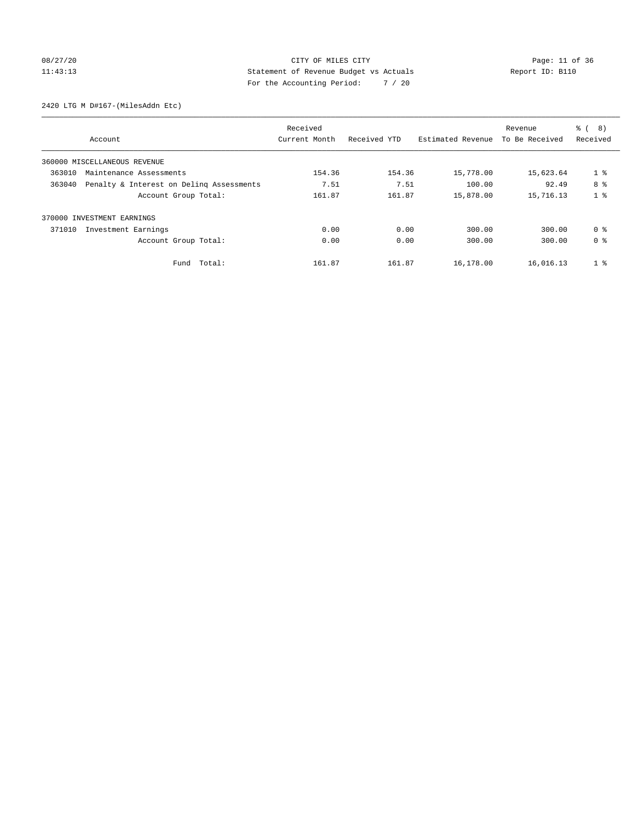## 08/27/20 Page: 11 of 36 11:43:13 Statement of Revenue Budget vs Actuals Report ID: B110 For the Accounting Period: 7 / 20

2420 LTG M D#167-(MilesAddn Etc)

|                              |                                          | Received      |              |                   | Revenue        | $\frac{6}{6}$<br>8) |
|------------------------------|------------------------------------------|---------------|--------------|-------------------|----------------|---------------------|
| Account                      |                                          | Current Month | Received YTD | Estimated Revenue | To Be Received | Received            |
| 360000 MISCELLANEOUS REVENUE |                                          |               |              |                   |                |                     |
| 363010                       | Maintenance Assessments                  | 154.36        | 154.36       | 15,778.00         | 15,623.64      | $1$ %               |
| 363040                       | Penalty & Interest on Deling Assessments | 7.51          | 7.51         | 100.00            | 92.49          | 8 %                 |
|                              | Account Group Total:                     | 161.87        | 161.87       | 15,878.00         | 15,716.13      | 1 <sup>8</sup>      |
| 370000 INVESTMENT EARNINGS   |                                          |               |              |                   |                |                     |
| 371010                       | Investment Earnings                      | 0.00          | 0.00         | 300.00            | 300.00         | 0 <sup>8</sup>      |
|                              | Account Group Total:                     | 0.00          | 0.00         | 300.00            | 300.00         | 0 <sup>8</sup>      |
|                              | Total:<br>Fund                           | 161.87        | 161.87       | 16,178.00         | 16,016.13      | 1 <sup>°</sup>      |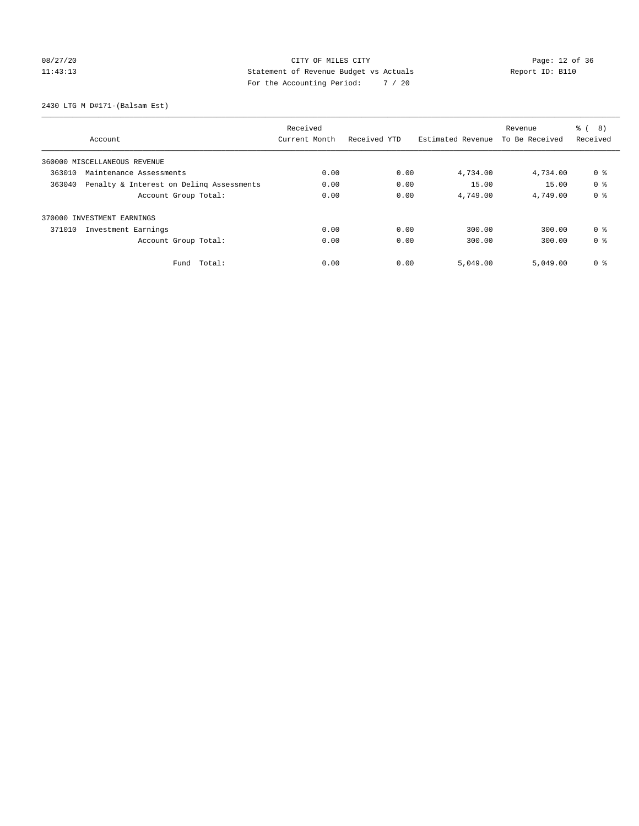# 08/27/20 Page: 12 of 36 11:43:13 Statement of Revenue Budget vs Actuals Report ID: B110 For the Accounting Period: 7 / 20

2430 LTG M D#171-(Balsam Est)

|                                                    | Received      |              |                   | Revenue        | $\frac{6}{6}$<br>8) |
|----------------------------------------------------|---------------|--------------|-------------------|----------------|---------------------|
| Account                                            | Current Month | Received YTD | Estimated Revenue | To Be Received | Received            |
| 360000 MISCELLANEOUS REVENUE                       |               |              |                   |                |                     |
| 363010<br>Maintenance Assessments                  | 0.00          | 0.00         | 4,734.00          | 4,734.00       | 0 %                 |
| 363040<br>Penalty & Interest on Deling Assessments | 0.00          | 0.00         | 15.00             | 15.00          | 0 <sup>8</sup>      |
| Account Group Total:                               | 0.00          | 0.00         | 4,749.00          | 4,749.00       | 0 <sup>8</sup>      |
| 370000 INVESTMENT EARNINGS                         |               |              |                   |                |                     |
| 371010<br>Investment Earnings                      | 0.00          | 0.00         | 300.00            | 300.00         | 0 <sup>8</sup>      |
| Account Group Total:                               | 0.00          | 0.00         | 300.00            | 300.00         | 0 <sup>8</sup>      |
| Total:<br>Fund                                     | 0.00          | 0.00         | 5,049.00          | 5,049.00       | 0 <sup>8</sup>      |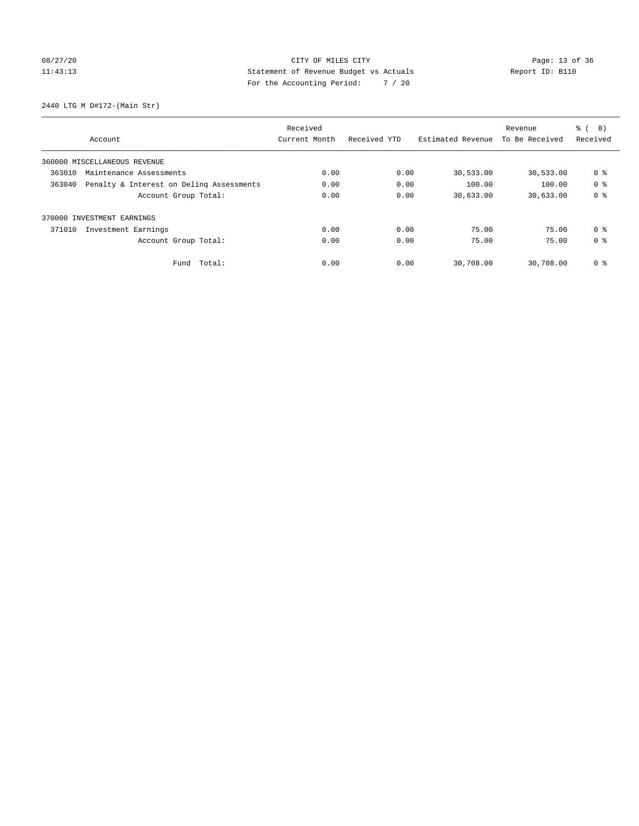# 08/27/20 Page: 13 of 36 CITY OF MILES CITY CONTROL PAGE: 13 of 36 11:43:13 Statement of Revenue Budget vs Actuals Report ID: B110 For the Accounting Period: 7 / 20

2440 LTG M D#172-(Main Str)

|                                                    | Received      |              |                   | Revenue        | ී (<br>8)      |
|----------------------------------------------------|---------------|--------------|-------------------|----------------|----------------|
| Account                                            | Current Month | Received YTD | Estimated Revenue | To Be Received | Received       |
| 360000 MISCELLANEOUS REVENUE                       |               |              |                   |                |                |
| 363010<br>Maintenance Assessments                  | 0.00          | 0.00         | 30,533.00         | 30,533.00      | 0 <sup>8</sup> |
| Penalty & Interest on Deling Assessments<br>363040 | 0.00          | 0.00         | 100.00            | 100.00         | 0 <sup>8</sup> |
| Account Group Total:                               | 0.00          | 0.00         | 30,633.00         | 30,633.00      | 0 <sup>8</sup> |
| INVESTMENT EARNINGS<br>370000                      |               |              |                   |                |                |
| 371010<br>Investment Earnings                      | 0.00          | 0.00         | 75.00             | 75.00          | 0 <sup>8</sup> |
| Account Group Total:                               | 0.00          | 0.00         | 75.00             | 75.00          | 0 <sup>8</sup> |
| Fund Total:                                        | 0.00          | 0.00         | 30,708.00         | 30,708.00      | 0 %            |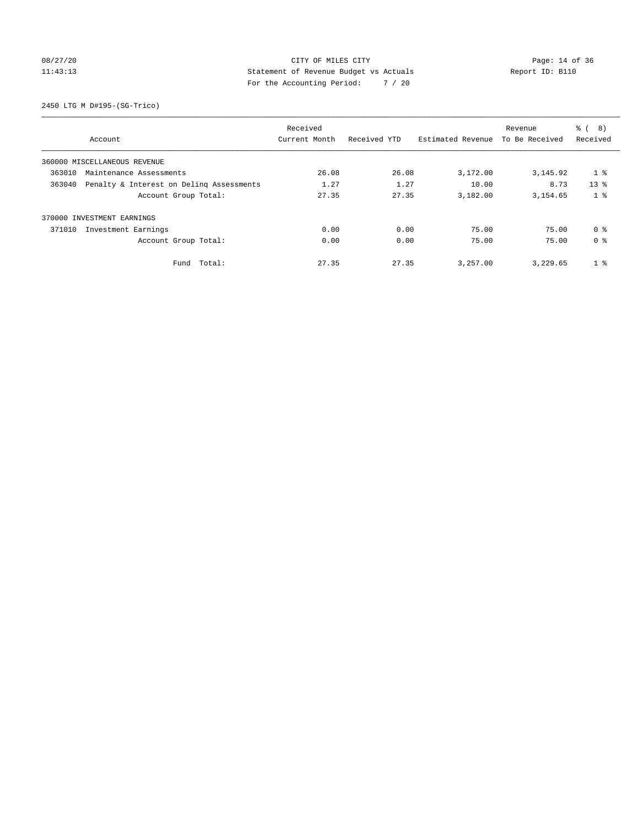## 08/27/20 Page: 14 of 36 11:43:13 Statement of Revenue Budget vs Actuals Report ID: B110 For the Accounting Period: 7 / 20

2450 LTG M D#195-(SG-Trico)

|        |                                          | Received      |              |                   | Revenue        | 8)<br>る (      |
|--------|------------------------------------------|---------------|--------------|-------------------|----------------|----------------|
|        | Account                                  | Current Month | Received YTD | Estimated Revenue | To Be Received | Received       |
|        | 360000 MISCELLANEOUS REVENUE             |               |              |                   |                |                |
| 363010 | Maintenance Assessments                  | 26.08         | 26.08        | 3,172.00          | 3, 145.92      | 1 <sub>8</sub> |
| 363040 | Penalty & Interest on Deling Assessments | 1.27          | 1.27         | 10.00             | 8.73           | $13*$          |
|        | Account Group Total:                     | 27.35         | 27.35        | 3,182.00          | 3,154.65       | 1 <sub>8</sub> |
|        | 370000 INVESTMENT EARNINGS               |               |              |                   |                |                |
| 371010 | Investment Earnings                      | 0.00          | 0.00         | 75.00             | 75.00          | 0 <sup>8</sup> |
|        | Account Group Total:                     | 0.00          | 0.00         | 75.00             | 75.00          | 0 <sup>8</sup> |
|        | Fund Total:                              | 27.35         | 27.35        | 3,257.00          | 3,229.65       | 1 <sup>°</sup> |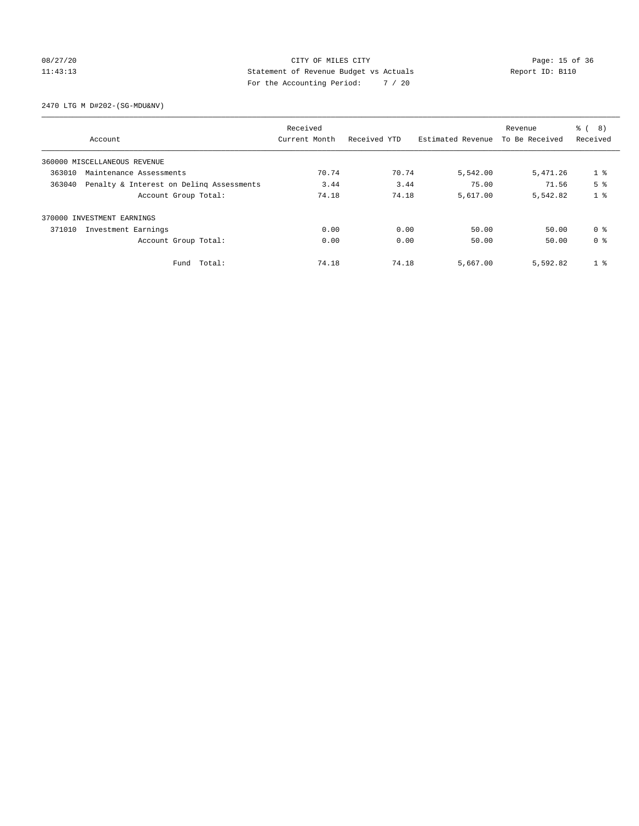## 08/27/20 Page: 15 of 36 11:43:13 Statement of Revenue Budget vs Actuals Report ID: B110 For the Accounting Period: 7 / 20

2470 LTG M D#202-(SG-MDU&NV)

|        |                                          | Received      |              |                   | Revenue        | 8)<br>る (      |
|--------|------------------------------------------|---------------|--------------|-------------------|----------------|----------------|
|        | Account                                  | Current Month | Received YTD | Estimated Revenue | To Be Received | Received       |
|        | 360000 MISCELLANEOUS REVENUE             |               |              |                   |                |                |
| 363010 | Maintenance Assessments                  | 70.74         | 70.74        | 5,542.00          | 5,471.26       | 1 <sub>8</sub> |
| 363040 | Penalty & Interest on Deling Assessments | 3.44          | 3.44         | 75.00             | 71.56          | 5 <sup>8</sup> |
|        | Account Group Total:                     | 74.18         | 74.18        | 5,617.00          | 5,542.82       | 1 <sup>8</sup> |
|        | 370000 INVESTMENT EARNINGS               |               |              |                   |                |                |
| 371010 | Investment Earnings                      | 0.00          | 0.00         | 50.00             | 50.00          | 0 <sup>8</sup> |
|        | Account Group Total:                     | 0.00          | 0.00         | 50.00             | 50.00          | 0 <sup>8</sup> |
|        | Fund Total:                              | 74.18         | 74.18        | 5,667.00          | 5,592.82       | 1 <sup>°</sup> |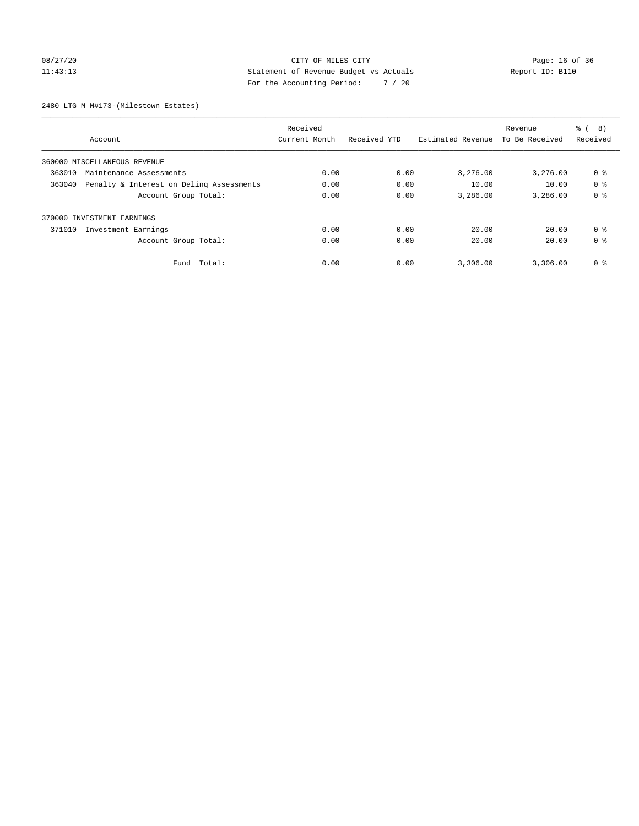## 08/27/20 Page: 16 of 36 CITY OF MILES CITY CONTROL PAGE: 16 of 36 11:43:13 Statement of Revenue Budget vs Actuals Report ID: B110 For the Accounting Period: 7 / 20

2480 LTG M M#173-(Milestown Estates)

|        |                                          | Received      |              |                   | Revenue        | 8)<br>る (      |
|--------|------------------------------------------|---------------|--------------|-------------------|----------------|----------------|
|        | Account                                  | Current Month | Received YTD | Estimated Revenue | To Be Received | Received       |
|        | 360000 MISCELLANEOUS REVENUE             |               |              |                   |                |                |
| 363010 | Maintenance Assessments                  | 0.00          | 0.00         | 3,276.00          | 3,276.00       | 0 %            |
| 363040 | Penalty & Interest on Deling Assessments | 0.00          | 0.00         | 10.00             | 10.00          | 0 <sup>8</sup> |
|        | Account Group Total:                     | 0.00          | 0.00         | 3,286.00          | 3,286.00       | 0 <sup>8</sup> |
|        | 370000 INVESTMENT EARNINGS               |               |              |                   |                |                |
| 371010 | Investment Earnings                      | 0.00          | 0.00         | 20.00             | 20.00          | 0 <sup>8</sup> |
|        | Account Group Total:                     | 0.00          | 0.00         | 20.00             | 20.00          | 0 <sup>8</sup> |
|        | Fund Total:                              | 0.00          | 0.00         | 3,306.00          | 3,306.00       | 0 %            |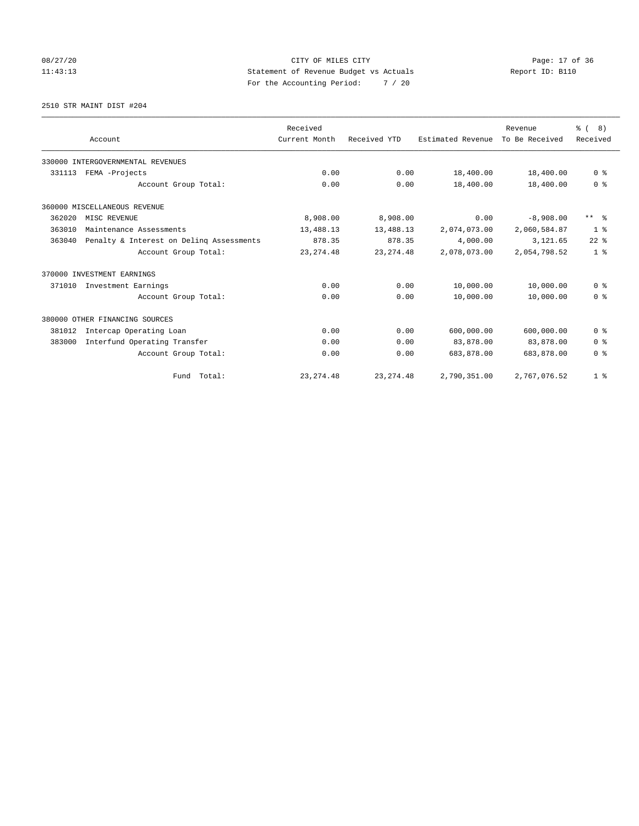# 08/27/20 Page: 17 of 36 11:43:13 Statement of Revenue Budget vs Actuals Report ID: B110 For the Accounting Period: 7 / 20

2510 STR MAINT DIST #204

|        |                                          | Received      |              |                   |                           | % (8)                   |
|--------|------------------------------------------|---------------|--------------|-------------------|---------------------------|-------------------------|
|        | Account                                  | Current Month | Received YTD | Estimated Revenue | Revenue<br>To Be Received | Received                |
|        |                                          |               |              |                   |                           |                         |
|        | 330000 INTERGOVERNMENTAL REVENUES        |               |              |                   |                           |                         |
| 331113 | FEMA -Projects                           | 0.00          | 0.00         | 18,400.00         | 18,400.00                 | 0 <sup>8</sup>          |
|        | Account Group Total:                     | 0.00          | 0.00         | 18,400.00         | 18,400.00                 | 0 <sup>8</sup>          |
|        | 360000 MISCELLANEOUS REVENUE             |               |              |                   |                           |                         |
| 362020 | MISC REVENUE                             | 8,908.00      | 8,908.00     | 0.00              | $-8,908.00$               | $***$ $=$ $\frac{6}{5}$ |
| 363010 | Maintenance Assessments                  | 13,488.13     | 13,488.13    | 2,074,073.00      | 2,060,584.87              | 1 <sup>8</sup>          |
| 363040 | Penalty & Interest on Delinq Assessments | 878.35        | 878.35       | 4,000.00          | 3,121.65                  | $22$ $%$                |
|        | Account Group Total:                     | 23, 274.48    | 23, 274.48   | 2,078,073.00      | 2,054,798.52              | 1 <sup>8</sup>          |
|        | 370000 INVESTMENT EARNINGS               |               |              |                   |                           |                         |
| 371010 | Investment Earnings                      | 0.00          | 0.00         | 10,000.00         | 10,000.00                 | 0 <sup>8</sup>          |
|        | Account Group Total:                     | 0.00          | 0.00         | 10,000.00         | 10,000.00                 | 0 <sup>8</sup>          |
|        | 380000 OTHER FINANCING SOURCES           |               |              |                   |                           |                         |
| 381012 | Intercap Operating Loan                  | 0.00          | 0.00         | 600,000.00        | 600,000.00                | 0 <sup>8</sup>          |
| 383000 | Interfund Operating Transfer             | 0.00          | 0.00         | 83,878.00         | 83,878.00                 | 0 <sup>8</sup>          |
|        | Account Group Total:                     | 0.00          | 0.00         | 683,878.00        | 683,878.00                | 0 <sup>8</sup>          |
|        | Fund Total:                              | 23, 274.48    | 23, 274.48   | 2,790,351.00      | 2,767,076.52              | 1 <sup>8</sup>          |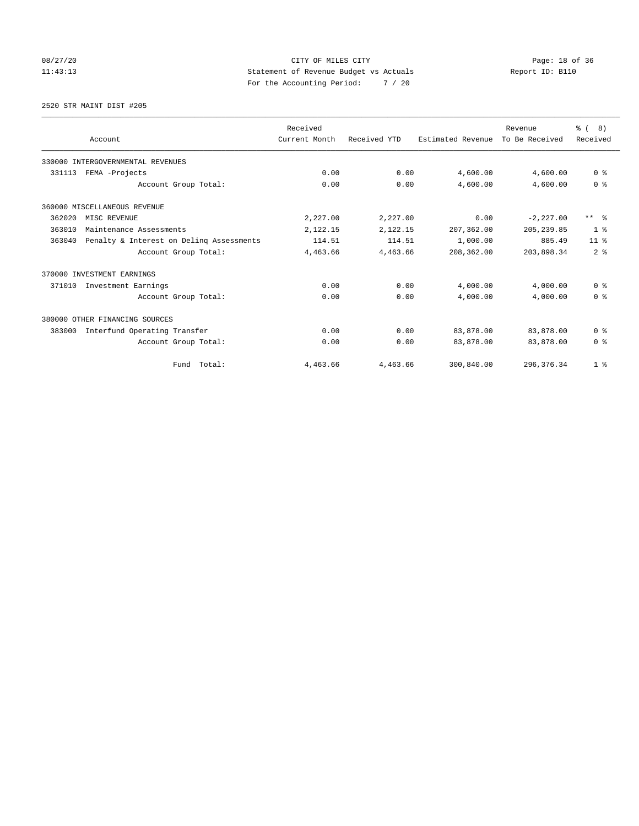# 08/27/20 Page: 18 of 36 CITY OF MILES CITY 11:43:13 Statement of Revenue Budget vs Actuals Report ID: B110 For the Accounting Period: 7 / 20

2520 STR MAINT DIST #205

|        |                                          | Received      |              |                   | Revenue        | ී (<br>8)           |
|--------|------------------------------------------|---------------|--------------|-------------------|----------------|---------------------|
|        | Account                                  | Current Month | Received YTD | Estimated Revenue | To Be Received | Received            |
|        | 330000 INTERGOVERNMENTAL REVENUES        |               |              |                   |                |                     |
| 331113 | FEMA -Projects                           | 0.00          | 0.00         | 4,600.00          | 4,600.00       | 0 <sup>8</sup>      |
|        | Account Group Total:                     | 0.00          | 0.00         | 4,600.00          | 4,600.00       | 0 <sup>8</sup>      |
|        | 360000 MISCELLANEOUS REVENUE             |               |              |                   |                |                     |
| 362020 | MISC REVENUE                             | 2,227.00      | 2,227.00     | 0.00              | $-2, 227.00$   | $***$ $\frac{6}{5}$ |
| 363010 | Maintenance Assessments                  | 2,122.15      | 2,122.15     | 207,362.00        | 205, 239.85    | 1 <sup>8</sup>      |
| 363040 | Penalty & Interest on Deling Assessments | 114.51        | 114.51       | 1,000.00          | 885.49         | 11 <sup>8</sup>     |
|        | Account Group Total:                     | 4,463.66      | 4,463.66     | 208,362.00        | 203,898.34     | 2 <sup>8</sup>      |
|        | 370000 INVESTMENT EARNINGS               |               |              |                   |                |                     |
| 371010 | Investment Earnings                      | 0.00          | 0.00         | 4,000.00          | 4,000.00       | 0 <sup>8</sup>      |
|        | Account Group Total:                     | 0.00          | 0.00         | 4,000.00          | 4,000.00       | 0 <sup>8</sup>      |
|        | 380000 OTHER FINANCING SOURCES           |               |              |                   |                |                     |
| 383000 | Interfund Operating Transfer             | 0.00          | 0.00         | 83,878.00         | 83,878.00      | 0 <sup>8</sup>      |
|        | Account Group Total:                     | 0.00          | 0.00         | 83,878.00         | 83,878.00      | 0 <sup>8</sup>      |
|        | Fund Total:                              | 4,463.66      | 4,463.66     | 300,840.00        | 296, 376.34    | 1 <sup>8</sup>      |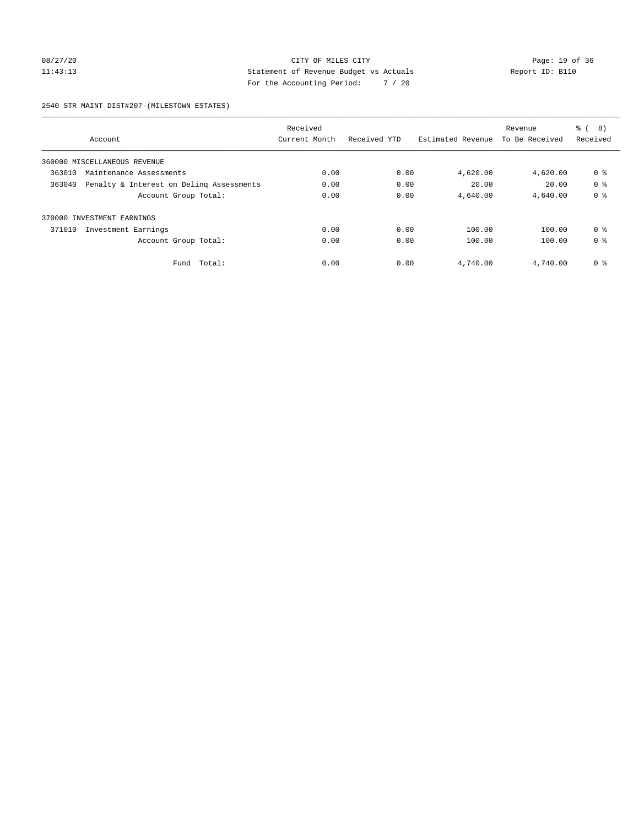## 08/27/20 Page: 19 of 36 11:43:13 Statement of Revenue Budget vs Actuals Report ID: B110 For the Accounting Period: 7 / 20

#### 2540 STR MAINT DIST#207-(MILESTOWN ESTATES)

|        |                                          | Received      |              |                   | Revenue        | ී (<br>8)      |
|--------|------------------------------------------|---------------|--------------|-------------------|----------------|----------------|
|        | Account                                  | Current Month | Received YTD | Estimated Revenue | To Be Received | Received       |
|        | 360000 MISCELLANEOUS REVENUE             |               |              |                   |                |                |
| 363010 | Maintenance Assessments                  |               | 0.00         | 4,620.00          | 4,620.00       | 0 <sup>8</sup> |
| 363040 | Penalty & Interest on Deling Assessments | 0.00          | 0.00         | 20.00             | 20.00          | 0 <sup>8</sup> |
|        | Account Group Total:                     | 0.00          | 0.00         | 4,640.00          | 4,640.00       | 0 <sup>8</sup> |
| 370000 | INVESTMENT EARNINGS                      |               |              |                   |                |                |
| 371010 | Investment Earnings                      | 0.00          | 0.00         | 100.00            | 100.00         | 0 <sup>8</sup> |
|        | Account Group Total:                     | 0.00          | 0.00         | 100.00            | 100.00         | 0 <sup>8</sup> |
|        | Total:<br>Fund                           | 0.00          | 0.00         | 4,740.00          | 4,740.00       | 0 <sup>8</sup> |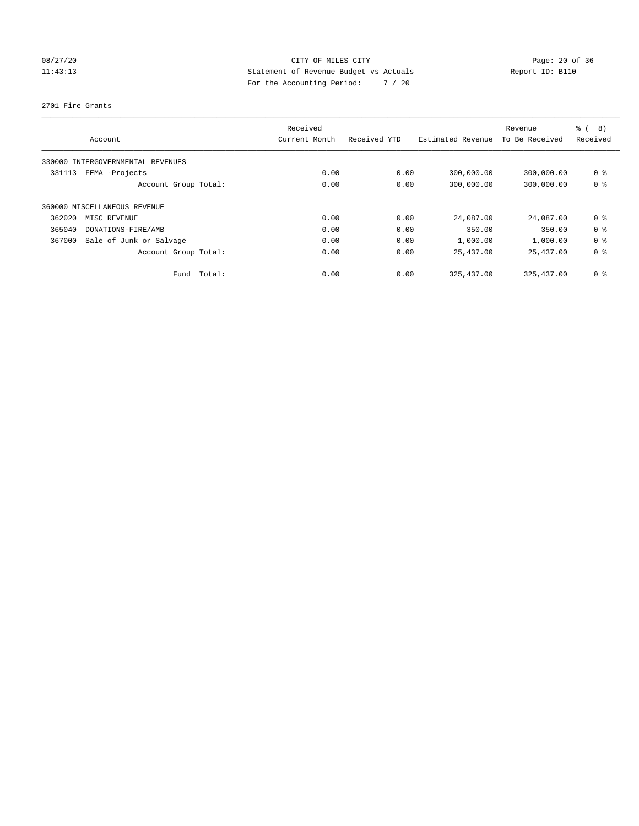# 08/27/20 Page: 20 of 36 11:43:13 Statement of Revenue Budget vs Actuals Report ID: B110 For the Accounting Period: 7 / 20

2701 Fire Grants

|        | Account                           |        | Received<br>Current Month | Received YTD | Estimated Revenue | Revenue<br>To Be Received | $\frac{6}{6}$<br>8)<br>Received |
|--------|-----------------------------------|--------|---------------------------|--------------|-------------------|---------------------------|---------------------------------|
|        | 330000 INTERGOVERNMENTAL REVENUES |        |                           |              |                   |                           |                                 |
| 331113 | FEMA -Projects                    |        | 0.00                      | 0.00         | 300,000.00        | 300,000.00                | 0 <sup>8</sup>                  |
|        | Account Group Total:              |        | 0.00                      | 0.00         | 300,000.00        | 300,000.00                | 0 <sup>8</sup>                  |
|        | 360000 MISCELLANEOUS REVENUE      |        |                           |              |                   |                           |                                 |
| 362020 | MISC REVENUE                      |        | 0.00                      | 0.00         | 24,087.00         | 24,087.00                 | 0 <sup>8</sup>                  |
| 365040 | DONATIONS-FIRE/AMB                |        | 0.00                      | 0.00         | 350.00            | 350.00                    | 0 <sup>8</sup>                  |
| 367000 | Sale of Junk or Salvage           |        | 0.00                      | 0.00         | 1,000.00          | 1,000.00                  | 0 <sup>8</sup>                  |
|        | Account Group Total:              |        | 0.00                      | 0.00         | 25,437.00         | 25,437.00                 | 0 <sup>8</sup>                  |
|        | Fund                              | Total: | 0.00                      | 0.00         | 325, 437.00       | 325, 437.00               | 0 <sup>8</sup>                  |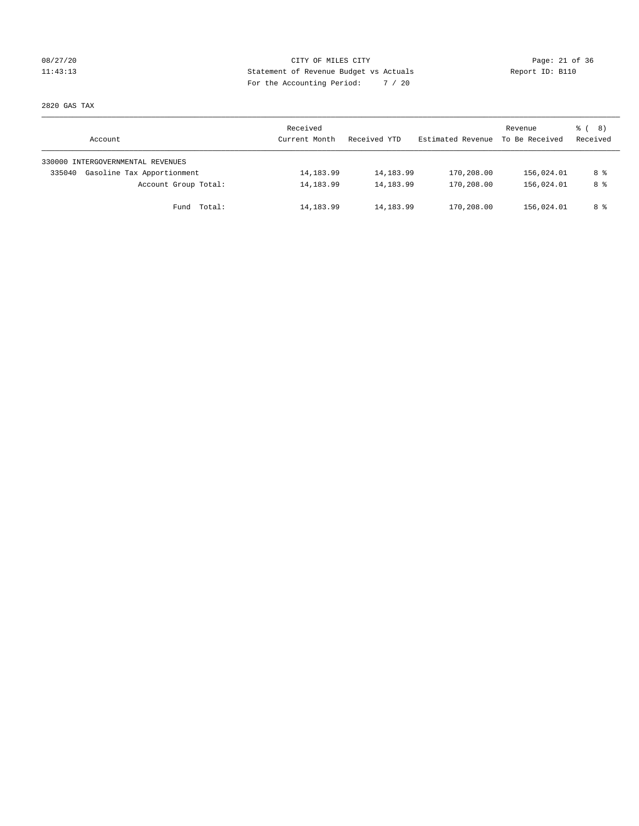## 08/27/20 Page: 21 of 36 11:43:13 Statement of Revenue Budget vs Actuals Report ID: B110 For the Accounting Period: 7 / 20

2820 GAS TAX

| Account                              | Received<br>Current Month | Received YTD | Estimated Revenue | Revenue<br>To Be Received | $\frac{6}{6}$ ( 8)<br>Received |
|--------------------------------------|---------------------------|--------------|-------------------|---------------------------|--------------------------------|
| 330000 INTERGOVERNMENTAL REVENUES    |                           |              |                   |                           |                                |
| Gasoline Tax Apportionment<br>335040 | 14, 183.99                | 14,183.99    | 170,208.00        | 156,024.01                | 8 %                            |
| Account Group Total:                 | 14, 183.99                | 14, 183.99   | 170,208.00        | 156,024.01                | 8 %                            |
| Fund Total:                          | 14,183.99                 | 14,183.99    | 170,208.00        | 156,024.01                | 8 %                            |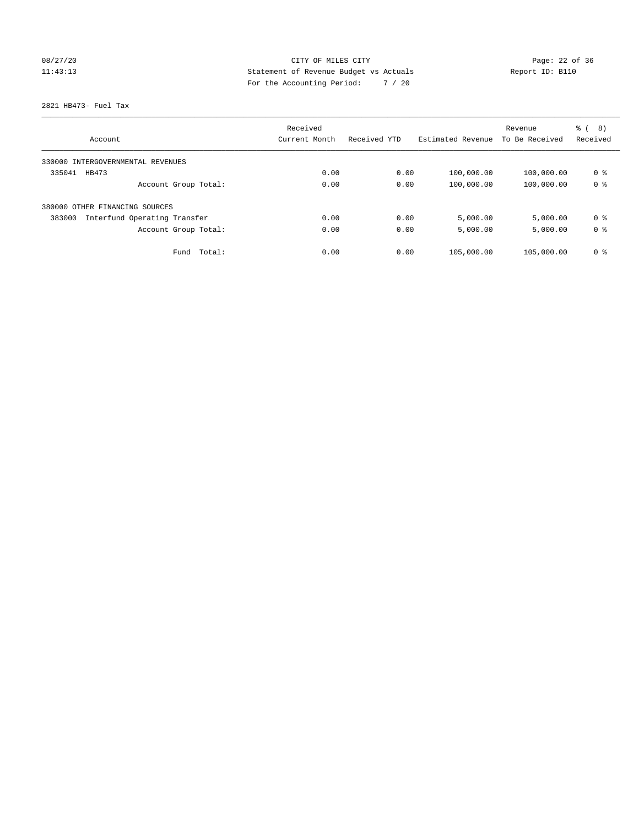# 08/27/20 Page: 22 of 36 11:43:13 Statement of Revenue Budget vs Actuals Report ID: B110 For the Accounting Period: 7 / 20

2821 HB473- Fuel Tax

|                                        | Received      |              |                   | Revenue        | $\frac{6}{6}$<br>8) |
|----------------------------------------|---------------|--------------|-------------------|----------------|---------------------|
| Account                                | Current Month | Received YTD | Estimated Revenue | To Be Received | Received            |
| 330000 INTERGOVERNMENTAL REVENUES      |               |              |                   |                |                     |
| 335041<br>HB473                        | 0.00          | 0.00         | 100,000.00        | 100,000.00     | 0 %                 |
| Account Group Total:                   | 0.00          | 0.00         | 100,000.00        | 100,000.00     | 0 <sup>8</sup>      |
| 380000 OTHER FINANCING SOURCES         |               |              |                   |                |                     |
| 383000<br>Interfund Operating Transfer | 0.00          | 0.00         | 5,000.00          | 5,000.00       | 0 <sup>8</sup>      |
| Account Group Total:                   | 0.00          | 0.00         | 5,000.00          | 5,000.00       | 0 <sup>8</sup>      |
| Total:<br>Fund                         | 0.00          | 0.00         | 105,000.00        | 105,000.00     | 0 <sup>8</sup>      |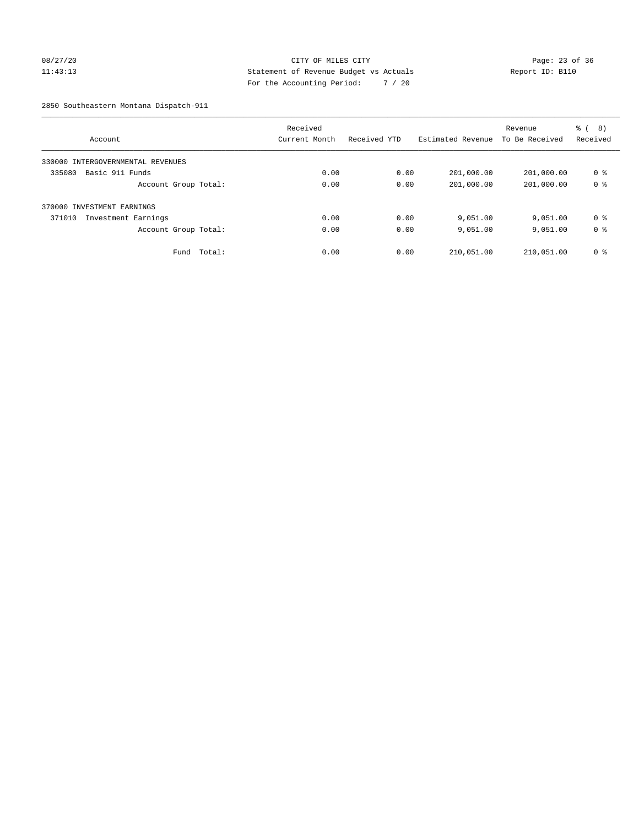## 08/27/20 Page: 23 of 36 11:43:13 Statement of Revenue Budget vs Actuals Report ID: B110 For the Accounting Period: 7 / 20

2850 Southeastern Montana Dispatch-911

|                                   |        | Received      |              |                   | Revenue        | (8)<br>ී (     |
|-----------------------------------|--------|---------------|--------------|-------------------|----------------|----------------|
| Account                           |        | Current Month | Received YTD | Estimated Revenue | To Be Received | Received       |
| 330000 INTERGOVERNMENTAL REVENUES |        |               |              |                   |                |                |
| Basic 911 Funds<br>335080         |        | 0.00          | 0.00         | 201,000.00        | 201,000.00     | 0 %            |
| Account Group Total:              |        | 0.00          | 0.00         | 201,000.00        | 201,000.00     | 0 <sup>8</sup> |
| 370000 INVESTMENT EARNINGS        |        |               |              |                   |                |                |
| 371010<br>Investment Earnings     |        | 0.00          | 0.00         | 9,051.00          | 9,051.00       | 0 <sup>8</sup> |
| Account Group Total:              |        | 0.00          | 0.00         | 9,051.00          | 9,051.00       | 0 <sup>8</sup> |
| Fund                              | Total: | 0.00          | 0.00         | 210,051.00        | 210,051.00     | 0 <sup>8</sup> |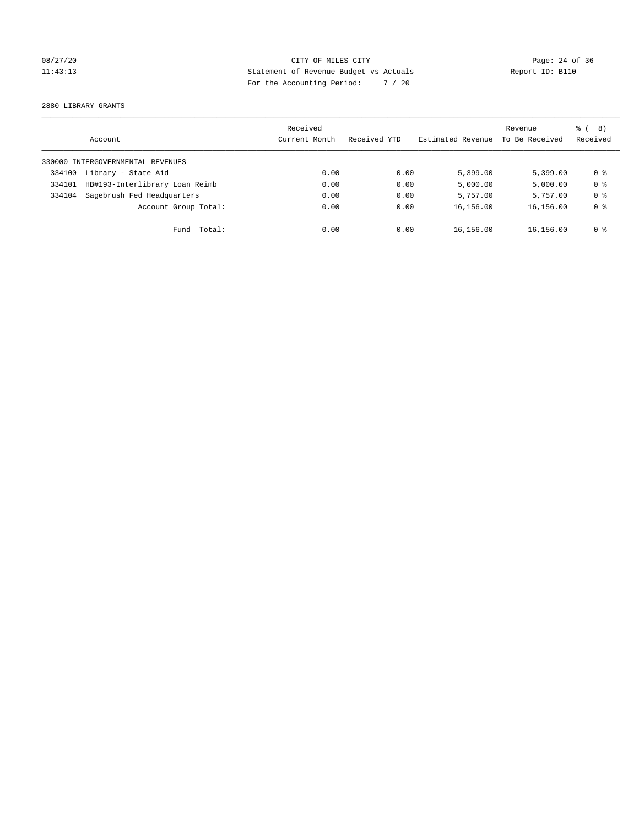# 08/27/20 Page: 24 of 36 11:43:13 Statement of Revenue Budget vs Actuals Report ID: B110 For the Accounting Period: 7 / 20

2880 LIBRARY GRANTS

|        | Account                           | Received<br>Current Month | Received YTD | Estimated Revenue | Revenue<br>To Be Received | $\frac{6}{6}$ ( 8)<br>Received |
|--------|-----------------------------------|---------------------------|--------------|-------------------|---------------------------|--------------------------------|
|        | 330000 INTERGOVERNMENTAL REVENUES |                           |              |                   |                           |                                |
| 334100 | Library - State Aid               | 0.00                      | 0.00         | 5,399.00          | 5.399.00                  | 0 %                            |
| 334101 | HB#193-Interlibrary Loan Reimb    | 0.00                      | 0.00         | 5,000.00          | 5,000.00                  | 0 <sup>8</sup>                 |
| 334104 | Sagebrush Fed Headquarters        | 0.00                      | 0.00         | 5,757.00          | 5,757.00                  | 0 <sup>8</sup>                 |
|        | Account Group Total:              | 0.00                      | 0.00         | 16,156.00         | 16,156.00                 | 0 <sup>8</sup>                 |
|        | Fund Total:                       | 0.00                      | 0.00         | 16,156.00         | 16,156.00                 | 0 %                            |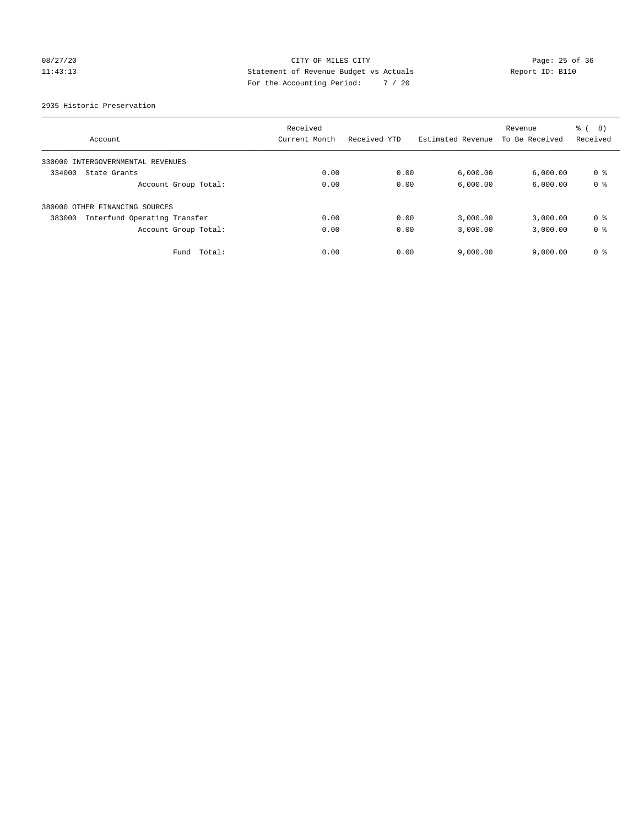# 08/27/20 Page: 25 of 36 11:43:13 Statement of Revenue Budget vs Actuals Report ID: B110 For the Accounting Period: 7 / 20

2935 Historic Preservation

|                                        | Received      |              |                   | Revenue        | 8)<br>る (      |
|----------------------------------------|---------------|--------------|-------------------|----------------|----------------|
| Account                                | Current Month | Received YTD | Estimated Revenue | To Be Received | Received       |
| 330000 INTERGOVERNMENTAL REVENUES      |               |              |                   |                |                |
| 334000<br>State Grants                 | 0.00          | 0.00         | 6,000.00          | 6,000.00       | 0 %            |
| Account Group Total:                   | 0.00          | 0.00         | 6,000.00          | 6,000.00       | 0 <sup>8</sup> |
| 380000 OTHER FINANCING SOURCES         |               |              |                   |                |                |
| Interfund Operating Transfer<br>383000 | 0.00          | 0.00         | 3,000.00          | 3,000.00       | 0 <sup>8</sup> |
| Account Group Total:                   | 0.00          | 0.00         | 3,000.00          | 3,000.00       | 0 <sup>8</sup> |
| Total:<br>Fund                         | 0.00          | 0.00         | 9,000.00          | 9.000.00       | 0 <sup>8</sup> |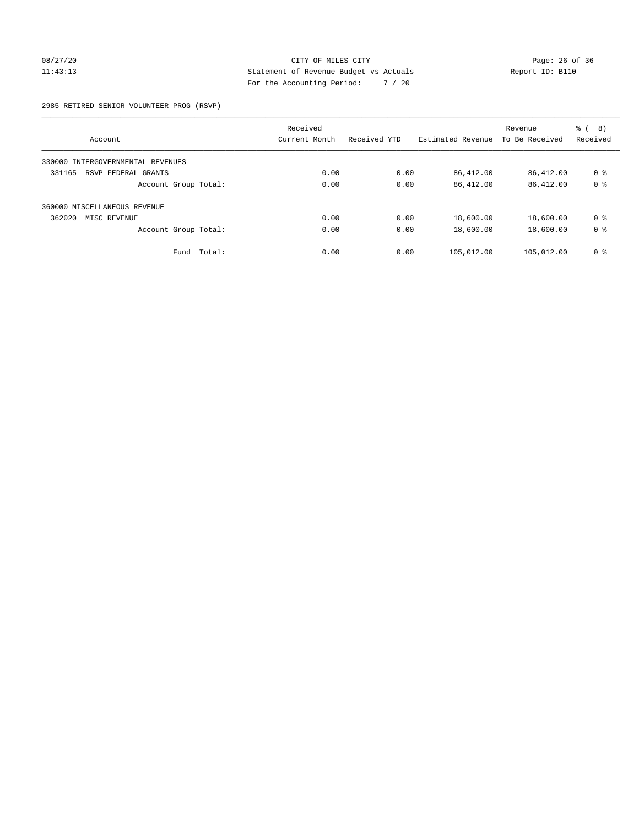## 08/27/20 Page: 26 of 36 11:43:13 Statement of Revenue Budget vs Actuals Report ID: B110 For the Accounting Period: 7 / 20

2985 RETIRED SENIOR VOLUNTEER PROG (RSVP)

|                                      | Received      |              |                   | Revenue        | (8)<br>ී (     |
|--------------------------------------|---------------|--------------|-------------------|----------------|----------------|
| Account                              | Current Month | Received YTD | Estimated Revenue | To Be Received | Received       |
| INTERGOVERNMENTAL REVENUES<br>330000 |               |              |                   |                |                |
| 331165<br>RSVP FEDERAL GRANTS        | 0.00          | 0.00         | 86,412.00         | 86,412.00      | 0 %            |
| Account Group Total:                 | 0.00          | 0.00         | 86,412.00         | 86,412.00      | 0 <sup>8</sup> |
| 360000 MISCELLANEOUS REVENUE         |               |              |                   |                |                |
| 362020<br>MISC REVENUE               | 0.00          | 0.00         | 18,600.00         | 18,600.00      | 0 <sup>8</sup> |
| Account Group Total:                 | 0.00          | 0.00         | 18,600.00         | 18,600.00      | 0 <sup>8</sup> |
| Total:<br>Fund                       | 0.00          | 0.00         | 105,012.00        | 105,012.00     | 0 <sup>8</sup> |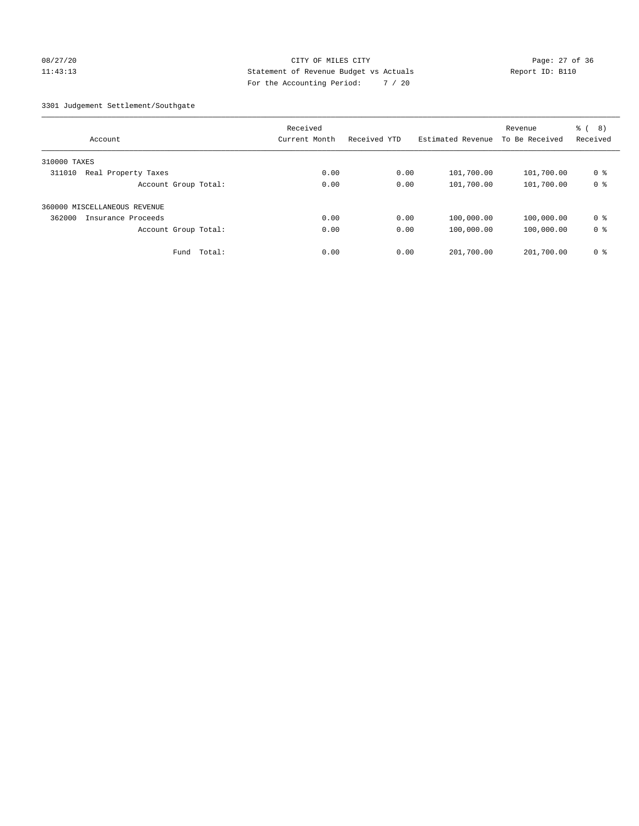## 08/27/20 Page: 27 of 36 11:43:13 Statement of Revenue Budget vs Actuals Report ID: B110 For the Accounting Period: 7 / 20

3301 Judgement Settlement/Southgate

| Account                       | Received<br>Current Month | Received YTD | Estimated Revenue | Revenue<br>To Be Received | ී (<br>(8)<br>Received |
|-------------------------------|---------------------------|--------------|-------------------|---------------------------|------------------------|
| 310000 TAXES                  |                           |              |                   |                           |                        |
| 311010<br>Real Property Taxes | 0.00                      | 0.00         | 101,700.00        | 101,700.00                | 0 <sup>8</sup>         |
| Account Group Total:          | 0.00                      | 0.00         | 101,700.00        | 101,700.00                | 0 <sup>8</sup>         |
| 360000 MISCELLANEOUS REVENUE  |                           |              |                   |                           |                        |
| 362000<br>Insurance Proceeds  | 0.00                      | 0.00         | 100,000.00        | 100,000.00                | 0 <sup>8</sup>         |
| Account Group Total:          | 0.00                      | 0.00         | 100,000.00        | 100,000.00                | 0 <sup>8</sup>         |
| Fund                          | Total:<br>0.00            | 0.00         | 201,700.00        | 201,700.00                | 0 <sup>8</sup>         |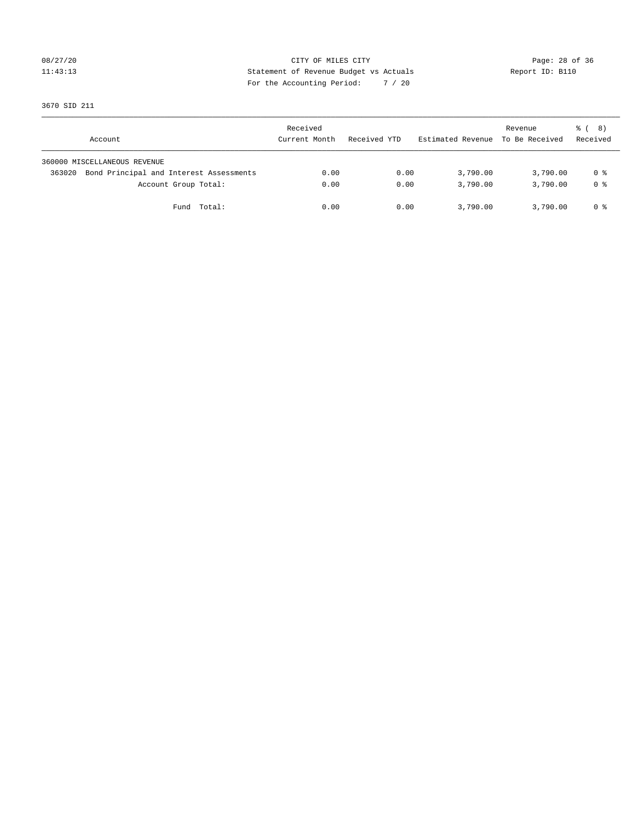## 08/27/20 Page: 28 of 36 11:43:13 Statement of Revenue Budget vs Actuals Report ID: B110 For the Accounting Period: 7 / 20

3670 SID 211

| Account                                           | Received<br>Current Month | Received YTD | Estimated Revenue | Revenue<br>To Be Received | ී ( 8 )<br>Received |
|---------------------------------------------------|---------------------------|--------------|-------------------|---------------------------|---------------------|
| 360000 MISCELLANEOUS REVENUE                      |                           |              |                   |                           |                     |
| Bond Principal and Interest Assessments<br>363020 | 0.00                      | 0.00         | 3,790.00          | 3,790.00                  | 0 %                 |
| Account Group Total:                              | 0.00                      | 0.00         | 3,790.00          | 3,790.00                  | 0 %                 |
| Fund Total:                                       | 0.00                      | 0.00         | 3,790.00          | 3,790.00                  | 0 %                 |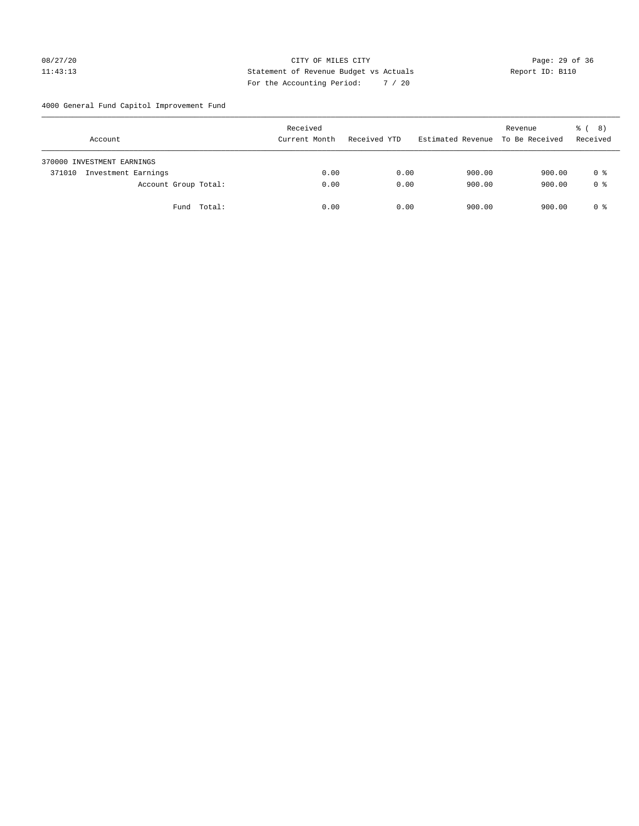## 08/27/20 Page: 29 of 36 11:43:13 Statement of Revenue Budget vs Actuals Report ID: B110 For the Accounting Period: 7 / 20

4000 General Fund Capitol Improvement Fund

| Account                       | Received<br>Current Month | Received YTD | Estimated Revenue | Revenue<br>To Be Received | ී ( 8 )<br>Received |
|-------------------------------|---------------------------|--------------|-------------------|---------------------------|---------------------|
| 370000 INVESTMENT EARNINGS    |                           |              |                   |                           |                     |
| Investment Earnings<br>371010 | 0.00                      | 0.00         | 900.00            | 900.00                    | 0 %                 |
| Account Group Total:          | 0.00                      | 0.00         | 900.00            | 900.00                    | 0 <sup>8</sup>      |
| Fund Total:                   | 0.00                      | 0.00         | 900.00            | 900.00                    | 0 %                 |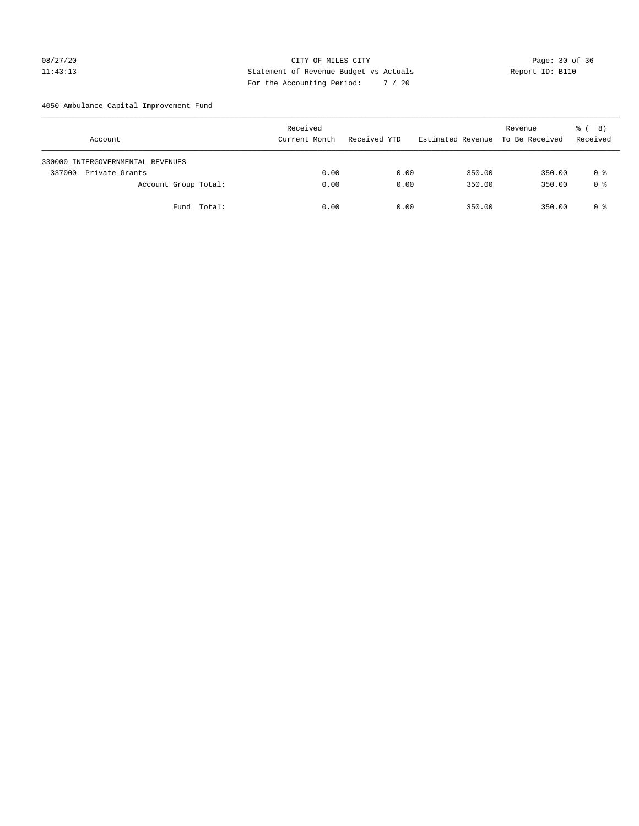## 08/27/20 Page: 30 of 36 11:43:13 Statement of Revenue Budget vs Actuals Report ID: B110 For the Accounting Period: 7 / 20

4050 Ambulance Capital Improvement Fund

| Account                           | Received<br>Current Month | Received YTD | Estimated Revenue To Be Received | Revenue | <sub>රි</sub> ( 8 )<br>Received |
|-----------------------------------|---------------------------|--------------|----------------------------------|---------|---------------------------------|
| 330000 INTERGOVERNMENTAL REVENUES |                           |              |                                  |         |                                 |
| Private Grants<br>337000          | 0.00                      | 0.00         | 350.00                           | 350.00  | 0 %                             |
| Account Group Total:              | 0.00                      | 0.00         | 350.00                           | 350.00  | 0 <sup>8</sup>                  |
| Fund Total:                       | 0.00                      | 0.00         | 350.00                           | 350.00  | 0 %                             |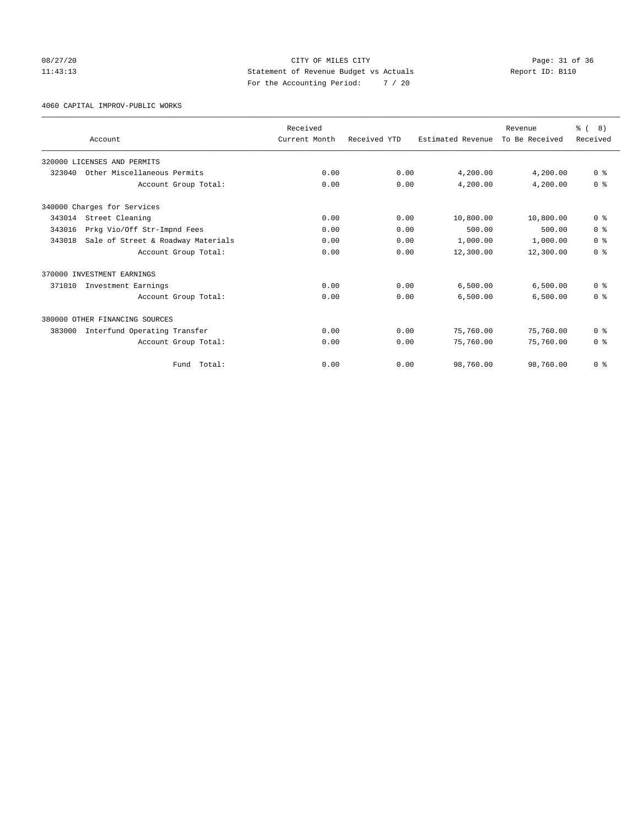## 08/27/20 Page: 31 of 36 11:43:13 Statement of Revenue Budget vs Actuals Report ID: B110 For the Accounting Period: 7 / 20

4060 CAPITAL IMPROV-PUBLIC WORKS

|        |                                    | Received      |              |                   | Revenue        | $\frac{6}{6}$ ( 8) |
|--------|------------------------------------|---------------|--------------|-------------------|----------------|--------------------|
|        | Account                            | Current Month | Received YTD | Estimated Revenue | To Be Received | Received           |
|        | 320000 LICENSES AND PERMITS        |               |              |                   |                |                    |
| 323040 | Other Miscellaneous Permits        | 0.00          | 0.00         | 4,200.00          | 4,200.00       | 0 <sup>8</sup>     |
|        | Account Group Total:               | 0.00          | 0.00         | 4,200.00          | 4,200.00       | 0 <sup>8</sup>     |
|        | 340000 Charges for Services        |               |              |                   |                |                    |
| 343014 | Street Cleaning                    | 0.00          | 0.00         | 10,800.00         | 10,800.00      | 0 <sup>8</sup>     |
| 343016 | Prkg Vio/Off Str-Impnd Fees        | 0.00          | 0.00         | 500.00            | 500.00         | 0 <sup>8</sup>     |
| 343018 | Sale of Street & Roadway Materials | 0.00          | 0.00         | 1,000.00          | 1,000.00       | 0 <sup>8</sup>     |
|        | Account Group Total:               | 0.00          | 0.00         | 12,300.00         | 12,300.00      | 0 <sup>8</sup>     |
|        | 370000 INVESTMENT EARNINGS         |               |              |                   |                |                    |
| 371010 | Investment Earnings                | 0.00          | 0.00         | 6,500.00          | 6,500.00       | 0 <sup>8</sup>     |
|        | Account Group Total:               | 0.00          | 0.00         | 6,500.00          | 6,500.00       | 0 <sup>8</sup>     |
|        | 380000 OTHER FINANCING SOURCES     |               |              |                   |                |                    |
| 383000 | Interfund Operating Transfer       | 0.00          | 0.00         | 75,760.00         | 75,760.00      | 0 <sup>8</sup>     |
|        | Account Group Total:               | 0.00          | 0.00         | 75,760.00         | 75,760.00      | 0 <sup>8</sup>     |
|        | Total:<br>Fund                     | 0.00          | 0.00         | 98,760.00         | 98,760.00      | 0 <sup>8</sup>     |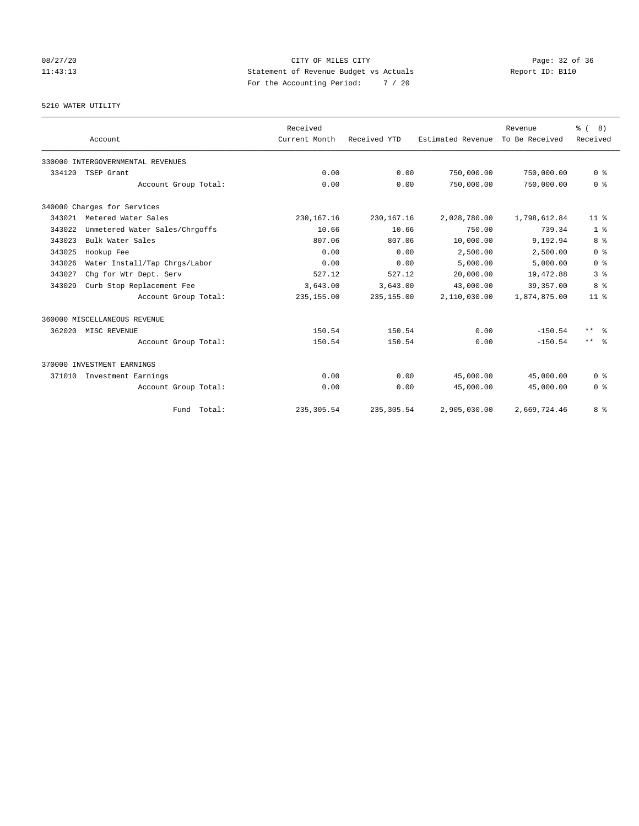# 08/27/20 Page: 32 of 36 11:43:13 Statement of Revenue Budget vs Actuals Report ID: B110 For the Accounting Period: 7 / 20

## 5210 WATER UTILITY

|        |                                   | Received      |              |                   | Revenue        | $\frac{6}{6}$ ( 8)      |
|--------|-----------------------------------|---------------|--------------|-------------------|----------------|-------------------------|
|        | Account                           | Current Month | Received YTD | Estimated Revenue | To Be Received | Received                |
|        | 330000 INTERGOVERNMENTAL REVENUES |               |              |                   |                |                         |
| 334120 | TSEP Grant                        | 0.00          | 0.00         | 750,000.00        | 750,000.00     | 0 <sup>8</sup>          |
|        | Account Group Total:              | 0.00          | 0.00         | 750,000.00        | 750,000.00     | 0 <sup>8</sup>          |
|        | 340000 Charges for Services       |               |              |                   |                |                         |
| 343021 | Metered Water Sales               | 230, 167. 16  | 230, 167. 16 | 2,028,780.00      | 1,798,612.84   | 11 <sup>8</sup>         |
| 343022 | Unmetered Water Sales/Chrgoffs    | 10.66         | 10.66        | 750.00            | 739.34         | 1 <sup>8</sup>          |
| 343023 | Bulk Water Sales                  | 807.06        | 807.06       | 10,000.00         | 9,192.94       | 8 %                     |
| 343025 | Hookup Fee                        | 0.00          | 0.00         | 2,500.00          | 2.500.00       | 0 <sup>8</sup>          |
| 343026 | Water Install/Tap Chrgs/Labor     | 0.00          | 0.00         | 5,000.00          | 5,000.00       | 0 <sup>8</sup>          |
| 343027 | Chq for Wtr Dept. Serv            | 527.12        | 527.12       | 20,000.00         | 19,472.88      | 3 <sup>8</sup>          |
| 343029 | Curb Stop Replacement Fee         | 3,643.00      | 3,643.00     | 43,000.00         | 39,357.00      | 8 %                     |
|        | Account Group Total:              | 235,155.00    | 235,155.00   | 2,110,030.00      | 1,874,875.00   | $11$ %                  |
|        | 360000 MISCELLANEOUS REVENUE      |               |              |                   |                |                         |
| 362020 | MISC REVENUE                      | 150.54        | 150.54       | 0.00              | $-150.54$      | $***$<br>- 옹            |
|        | Account Group Total:              | 150.54        | 150.54       | 0.00              | $-150.54$      | $***$ $=$ $\frac{6}{5}$ |
|        | 370000 INVESTMENT EARNINGS        |               |              |                   |                |                         |
| 371010 | Investment Earnings               | 0.00          | 0.00         | 45,000.00         | 45,000.00      | 0 <sup>8</sup>          |
|        | Account Group Total:              | 0.00          | 0.00         | 45,000.00         | 45,000.00      | 0 <sup>8</sup>          |
|        | Fund Total:                       | 235, 305.54   | 235, 305.54  | 2,905,030.00      | 2,669,724.46   | 8 %                     |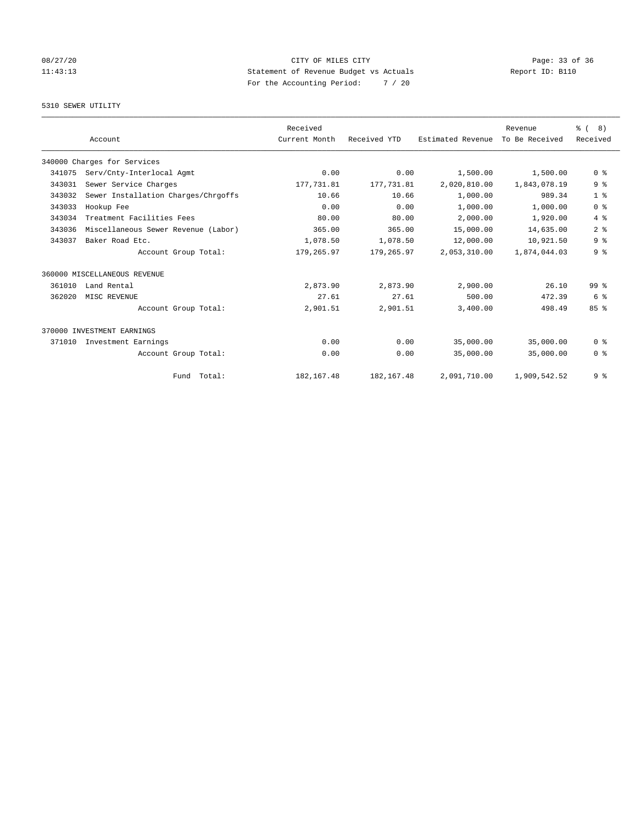# 08/27/20 Page: 33 of 36 Page: 33 of 36 Page: 33 of 36 Page: 33 of 36 Page: 33 of 36 Page: 33 of 36 Page: 33 of 36 11:43:13 Statement of Revenue Budget vs Actuals Report ID: B110 For the Accounting Period: 7 / 20

## 5310 SEWER UTILITY

|        |                                     | Received      |              |                   | Revenue        | ී (<br>8)      |
|--------|-------------------------------------|---------------|--------------|-------------------|----------------|----------------|
|        | Account                             | Current Month | Received YTD | Estimated Revenue | To Be Received | Received       |
|        | 340000 Charges for Services         |               |              |                   |                |                |
| 341075 | Serv/Cnty-Interlocal Agmt           | 0.00          | 0.00         | 1,500.00          | 1,500.00       | 0 <sup>8</sup> |
| 343031 | Sewer Service Charges               | 177,731.81    | 177,731.81   | 2,020,810.00      | 1,843,078.19   | 9 <sup>8</sup> |
| 343032 | Sewer Installation Charges/Chrgoffs | 10.66         | 10.66        | 1,000.00          | 989.34         | 1 <sup>8</sup> |
| 343033 | Hookup Fee                          | 0.00          | 0.00         | 1,000.00          | 1,000.00       | 0 <sup>8</sup> |
| 343034 | Treatment Facilities Fees           | 80.00         | 80.00        | 2,000.00          | 1,920.00       | 4%             |
| 343036 | Miscellaneous Sewer Revenue (Labor) | 365.00        | 365.00       | 15,000.00         | 14,635.00      | 2 <sup>8</sup> |
| 343037 | Baker Road Etc.                     | 1,078.50      | 1,078.50     | 12,000.00         | 10,921.50      | 9 <sup>8</sup> |
|        | Account Group Total:                | 179,265.97    | 179,265.97   | 2,053,310.00      | 1,874,044.03   | 9 <sup>8</sup> |
|        | 360000 MISCELLANEOUS REVENUE        |               |              |                   |                |                |
| 361010 | Land Rental                         | 2,873.90      | 2,873.90     | 2,900.00          | 26.10          | $99*$          |
| 362020 | MISC REVENUE                        | 27.61         | 27.61        | 500.00            | 472.39         | 6 %            |
|        | Account Group Total:                | 2,901.51      | 2,901.51     | 3,400.00          | 498.49         | 85%            |
|        | 370000 INVESTMENT EARNINGS          |               |              |                   |                |                |
| 371010 | Investment Earnings                 | 0.00          | 0.00         | 35,000.00         | 35,000.00      | 0 <sup>8</sup> |
|        | Account Group Total:                | 0.00          | 0.00         | 35,000.00         | 35,000.00      | 0 <sup>8</sup> |
|        | Fund Total:                         | 182, 167.48   | 182, 167.48  | 2,091,710.00      | 1,909,542.52   | 9 <sup>8</sup> |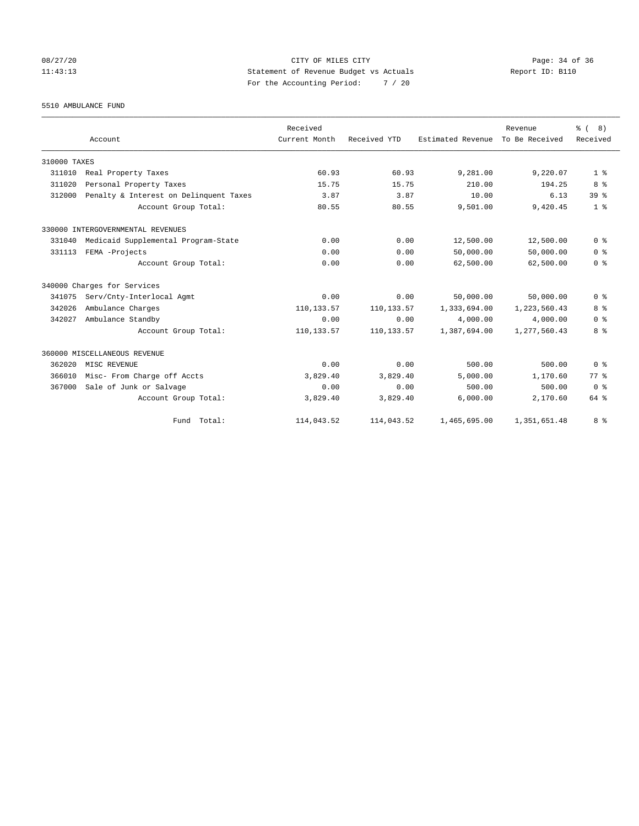## 08/27/20 Page: 34 of 36 Page: 34 of 36 Page: 34 of 36 Page: 34 of 36 Page: 34 Of 36 Page: 34 Of 36 Page: 34 Of 36 11:43:13 Statement of Revenue Budget vs Actuals Report ID: B110 For the Accounting Period: 7 / 20

5510 AMBULANCE FUND

|              |                                        | Received      |              |                   | Revenue        | $\frac{6}{6}$ ( 8) |
|--------------|----------------------------------------|---------------|--------------|-------------------|----------------|--------------------|
|              | Account                                | Current Month | Received YTD | Estimated Revenue | To Be Received | Received           |
| 310000 TAXES |                                        |               |              |                   |                |                    |
| 311010       | Real Property Taxes                    | 60.93         | 60.93        | 9,281.00          | 9,220.07       | 1 <sup>8</sup>     |
| 311020       | Personal Property Taxes                | 15.75         | 15.75        | 210.00            | 194.25         | 8 %                |
| 312000       | Penalty & Interest on Delinquent Taxes | 3.87          | 3.87         | 10.00             | 6.13           | 39 <sup>8</sup>    |
|              | Account Group Total:                   | 80.55         | 80.55        | 9,501.00          | 9,420.45       | 1 <sup>8</sup>     |
|              | 330000 INTERGOVERNMENTAL REVENUES      |               |              |                   |                |                    |
| 331040       | Medicaid Supplemental Program-State    | 0.00          | 0.00         | 12,500.00         | 12,500.00      | 0 <sup>8</sup>     |
| 331113       | FEMA -Projects                         | 0.00          | 0.00         | 50,000.00         | 50,000.00      | 0 <sup>8</sup>     |
|              | Account Group Total:                   | 0.00          | 0.00         | 62,500.00         | 62,500.00      | 0 <sup>8</sup>     |
|              | 340000 Charges for Services            |               |              |                   |                |                    |
| 341075       | Serv/Cnty-Interlocal Agmt              | 0.00          | 0.00         | 50,000.00         | 50,000.00      | 0 <sup>8</sup>     |
| 342026       | Ambulance Charges                      | 110,133.57    | 110, 133.57  | 1,333,694.00      | 1,223,560.43   | 8 %                |
| 342027       | Ambulance Standby                      | 0.00          | 0.00         | 4,000.00          | 4,000.00       | 0 <sup>8</sup>     |
|              | Account Group Total:                   | 110,133.57    | 110, 133.57  | 1,387,694.00      | 1,277,560.43   | 8 %                |
|              | 360000 MISCELLANEOUS REVENUE           |               |              |                   |                |                    |
| 362020       | MISC REVENUE                           | 0.00          | 0.00         | 500.00            | 500.00         | 0 <sup>8</sup>     |
| 366010       | Misc- From Charge off Accts            | 3,829.40      | 3,829.40     | 5,000.00          | 1,170.60       | 77.8               |
| 367000       | Sale of Junk or Salvage                | 0.00          | 0.00         | 500.00            | 500.00         | 0 <sup>8</sup>     |
|              | Account Group Total:                   | 3,829.40      | 3,829.40     | 6,000.00          | 2,170.60       | 64 %               |
|              | Fund Total:                            | 114,043.52    | 114,043.52   | 1,465,695.00      | 1,351,651.48   | 8 %                |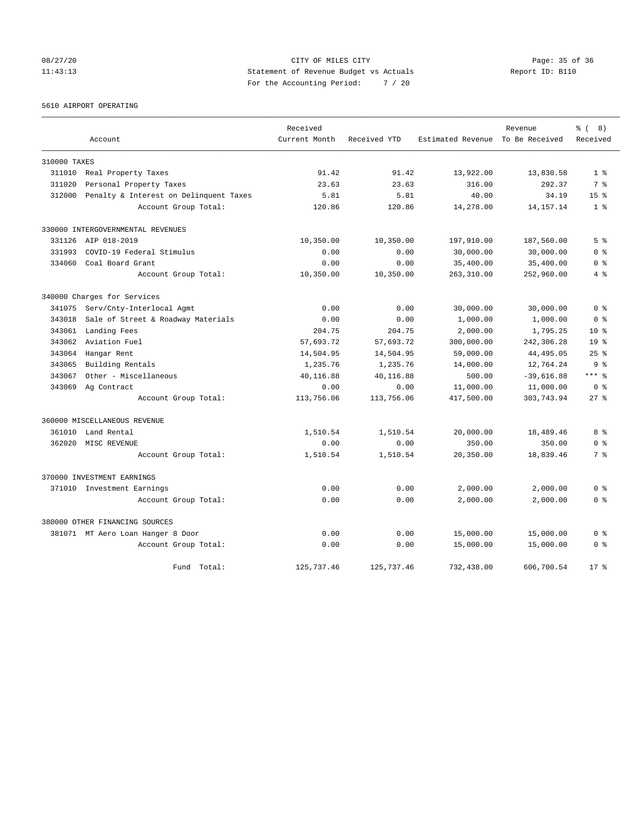# 08/27/20 Page: 35 of 36 CITY OF MILES CITY CONTROL PAGE: 35 of 36 11:43:13 Statement of Revenue Budget vs Actuals Report ID: B110 For the Accounting Period: 7 / 20

5610 AIRPORT OPERATING

|              |                                        | Received      |              |                                  | Revenue      | $\frac{6}{6}$ ( 8) |
|--------------|----------------------------------------|---------------|--------------|----------------------------------|--------------|--------------------|
|              | Account                                | Current Month | Received YTD | Estimated Revenue To Be Received |              | Received           |
| 310000 TAXES |                                        |               |              |                                  |              |                    |
| 311010       | Real Property Taxes                    | 91.42         | 91.42        | 13,922.00                        | 13,830.58    | 1 <sup>8</sup>     |
| 311020       | Personal Property Taxes                | 23.63         | 23.63        | 316.00                           | 292.37       | 7 %                |
| 312000       | Penalty & Interest on Delinquent Taxes | 5.81          | 5.81         | 40.00                            | 34.19        | 15 <sup>8</sup>    |
|              | Account Group Total:                   | 120.86        | 120.86       | 14,278.00                        | 14, 157. 14  | 1 <sup>8</sup>     |
|              | 330000 INTERGOVERNMENTAL REVENUES      |               |              |                                  |              |                    |
|              | 331126 AIP 018-2019                    | 10,350.00     | 10,350.00    | 197,910.00                       | 187,560.00   | 5 <sup>8</sup>     |
| 331993       | COVID-19 Federal Stimulus              | 0.00          | 0.00         | 30,000.00                        | 30,000.00    | 0 <sup>8</sup>     |
| 334060       | Coal Board Grant                       | 0.00          | 0.00         | 35,400.00                        | 35,400.00    | 0 <sup>8</sup>     |
|              | Account Group Total:                   | 10,350.00     | 10,350.00    | 263,310.00                       | 252,960.00   | 4 %                |
|              | 340000 Charges for Services            |               |              |                                  |              |                    |
| 341075       | Serv/Cnty-Interlocal Agmt              | 0.00          | 0.00         | 30,000.00                        | 30,000.00    | 0 <sup>8</sup>     |
| 343018       | Sale of Street & Roadway Materials     | 0.00          | 0.00         | 1,000.00                         | 1,000.00     | 0 <sup>8</sup>     |
| 343061       | Landing Fees                           | 204.75        | 204.75       | 2,000.00                         | 1,795.25     | 10 <sub>8</sub>    |
| 343062       | Aviation Fuel                          | 57,693.72     | 57,693.72    | 300,000.00                       | 242,306.28   | 19 <sup>8</sup>    |
| 343064       | Hangar Rent                            | 14,504.95     | 14,504.95    | 59,000.00                        | 44, 495.05   | $25$ $%$           |
| 343065       | Building Rentals                       | 1,235.76      | 1,235.76     | 14,000.00                        | 12,764.24    | 9 <sup>8</sup>     |
| 343067       | Other - Miscellaneous                  | 40,116.88     | 40,116.88    | 500.00                           | $-39,616.88$ | $***$ $%$          |
| 343069       | Ag Contract                            | 0.00          | 0.00         | 11,000.00                        | 11,000.00    | 0 <sup>8</sup>     |
|              | Account Group Total:                   | 113,756.06    | 113,756.06   | 417,500.00                       | 303,743.94   | $27$ $%$           |
|              | 360000 MISCELLANEOUS REVENUE           |               |              |                                  |              |                    |
| 361010       | Land Rental                            | 1,510.54      | 1,510.54     | 20,000.00                        | 18,489.46    | 8 %                |
| 362020       | MISC REVENUE                           | 0.00          | 0.00         | 350.00                           | 350.00       | 0 <sup>8</sup>     |
|              | Account Group Total:                   | 1,510.54      | 1,510.54     | 20,350.00                        | 18,839.46    | 7 %                |
|              | 370000 INVESTMENT EARNINGS             |               |              |                                  |              |                    |
|              | 371010 Investment Earnings             | 0.00          | 0.00         | 2,000.00                         | 2,000.00     | 0 <sup>8</sup>     |
|              | Account Group Total:                   | 0.00          | 0.00         | 2,000.00                         | 2,000.00     | 0 <sup>8</sup>     |
|              | 380000 OTHER FINANCING SOURCES         |               |              |                                  |              |                    |
|              | 381071 MT Aero Loan Hanger 8 Door      | 0.00          | 0.00         | 15,000.00                        | 15,000.00    | 0 <sup>8</sup>     |
|              | Account Group Total:                   | 0.00          | 0.00         | 15,000.00                        | 15,000.00    | 0 <sup>8</sup>     |
|              | Fund Total:                            | 125,737.46    | 125,737.46   | 732,438.00                       | 606,700.54   | $17*$              |